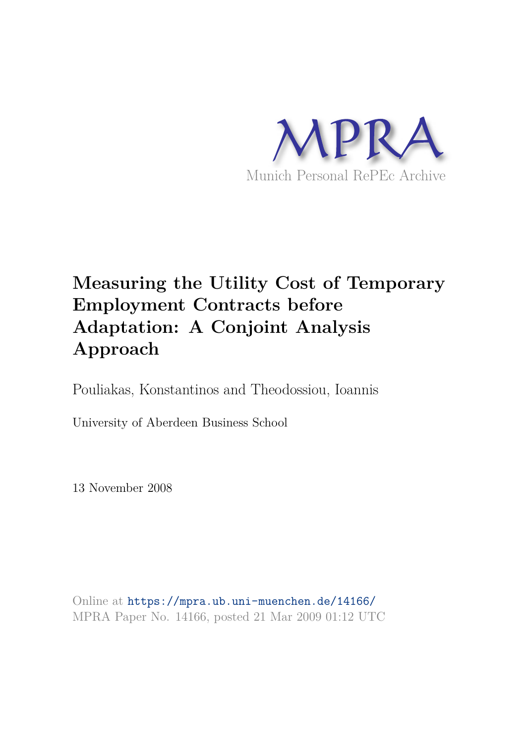

# **Measuring the Utility Cost of Temporary Employment Contracts before Adaptation: A Conjoint Analysis Approach**

Pouliakas, Konstantinos and Theodossiou, Ioannis

University of Aberdeen Business School

13 November 2008

Online at https://mpra.ub.uni-muenchen.de/14166/ MPRA Paper No. 14166, posted 21 Mar 2009 01:12 UTC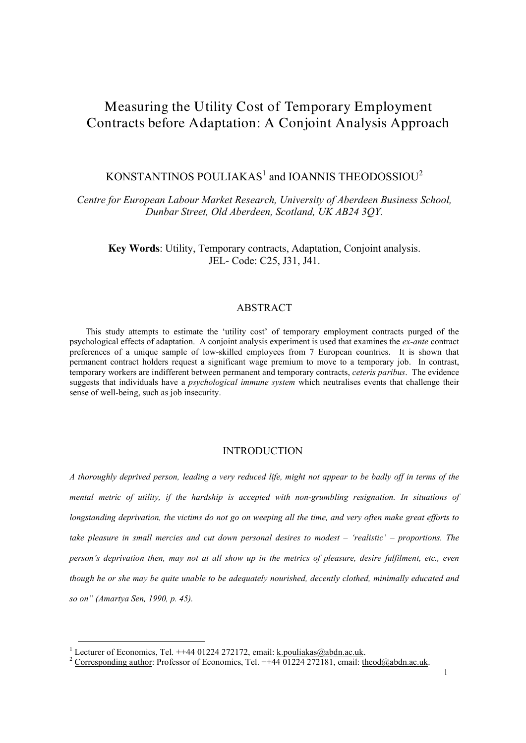# Measuring the Utility Cost of Temporary Employment Contracts before Adaptation: A Conjoint Analysis Approach

# KONSTANTINOS POULIAKAS $^{\rm l}$  and IOANNIS THEODOSSIOU $^{\rm 2}$

*Centre for European Labour Market Research, University of Aberdeen Business School, Dunbar Street, Old Aberdeen, Scotland, UK AB24 3QY.*

**Key Words**: Utility, Temporary contracts, Adaptation, Conjoint analysis. JEL- Code: C25, J31, J41.

# ABSTRACT

This study attempts to estimate the 'utility cost' of temporary employment contracts purged of the psychological effects of adaptation. A conjoint analysis experiment is used that examines the *ex-ante* contract preferences of a unique sample of low-skilled employees from 7 European countries. It is shown that permanent contract holders request a significant wage premium to move to a temporary job. In contrast, temporary workers are indifferent between permanent and temporary contracts, *ceteris paribus*. The evidence suggests that individuals have a *psychological immune system* which neutralises events that challenge their sense of well-being, such as job insecurity.

# INTRODUCTION

*A thoroughly deprived person, leading a very reduced life, might not appear to be badly off in terms of the mental metric of utility, if the hardship is accepted with non-grumbling resignation. In situations of longstanding deprivation, the victims do not go on weeping all the time, and very often make great efforts to take pleasure in small mercies and cut down personal desires to modest – 'realistic' – proportions. The person's deprivation then, may not at all show up in the metrics of pleasure, desire fulfilment, etc., even though he or she may be quite unable to be adequately nourished, decently clothed, minimally educated and so on" (Amartya Sen, 1990, p. 45).*

<sup>&</sup>lt;sup>1</sup> Lecturer of Economics, Tel. ++44 01224 272172, email: **k**.pouliakas@abdn.ac.uk.

<sup>&</sup>lt;sup>2</sup> Corresponding author: Professor of Economics, Tel.  $++44.01224.272181$ , email: theod@abdn.ac.uk.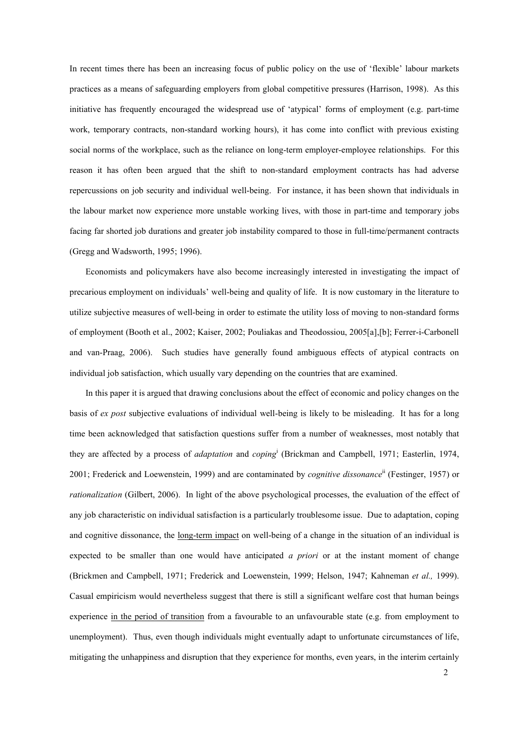In recent times there has been an increasing focus of public policy on the use of 'flexible' labour markets practices as a means of safeguarding employers from global competitive pressures (Harrison, 1998). As this initiative has frequently encouraged the widespread use of 'atypical' forms of employment (e.g. part-time work, temporary contracts, non-standard working hours), it has come into conflict with previous existing social norms of the workplace, such as the reliance on long-term employer-employee relationships. For this reason it has often been argued that the shift to non-standard employment contracts has had adverse repercussions on job security and individual well-being. For instance, it has been shown that individuals in the labour market now experience more unstable working lives, with those in part-time and temporary jobs facing far shorted job durations and greater job instability compared to those in full-time/permanent contracts (Gregg and Wadsworth, 1995; 1996).

Economists and policymakers have also become increasingly interested in investigating the impact of precarious employment on individuals' well-being and quality of life. It is now customary in the literature to utilize subjective measures of well-being in order to estimate the utility loss of moving to non-standard forms of employment (Booth et al., 2002; Kaiser, 2002; Pouliakas and Theodossiou, 2005[a],[b]; Ferrer-i-Carbonell and van-Praag, 2006). Such studies have generally found ambiguous effects of atypical contracts on individual job satisfaction, which usually vary depending on the countries that are examined.

In this paper it is argued that drawing conclusions about the effect of economic and policy changes on the basis of *ex post* subjective evaluations of individual well-being is likely to be misleading. It has for a long time been acknowledged that satisfaction questions suffer from a number of weaknesses, most notably that they are affected by a process of *adaptation* and *coping*<sup>i</sup> (Brickman and Campbell, 1971; Easterlin, 1974, 2001; Frederick and Loewenstein, 1999) and are contaminated by *cognitive dissonance*ii (Festinger, 1957) or *rationalization* (Gilbert, 2006). In light of the above psychological processes, the evaluation of the effect of any job characteristic on individual satisfaction is a particularly troublesome issue. Due to adaptation, coping and cognitive dissonance, the long-term impact on well-being of a change in the situation of an individual is expected to be smaller than one would have anticipated *a priori* or at the instant moment of change (Brickmen and Campbell, 1971; Frederick and Loewenstein, 1999; Helson, 1947; Kahneman *et al.,* 1999). Casual empiricism would nevertheless suggest that there is still a significant welfare cost that human beings experience in the period of transition from a favourable to an unfavourable state (e.g. from employment to unemployment). Thus, even though individuals might eventually adapt to unfortunate circumstances of life, mitigating the unhappiness and disruption that they experience for months, even years, in the interim certainly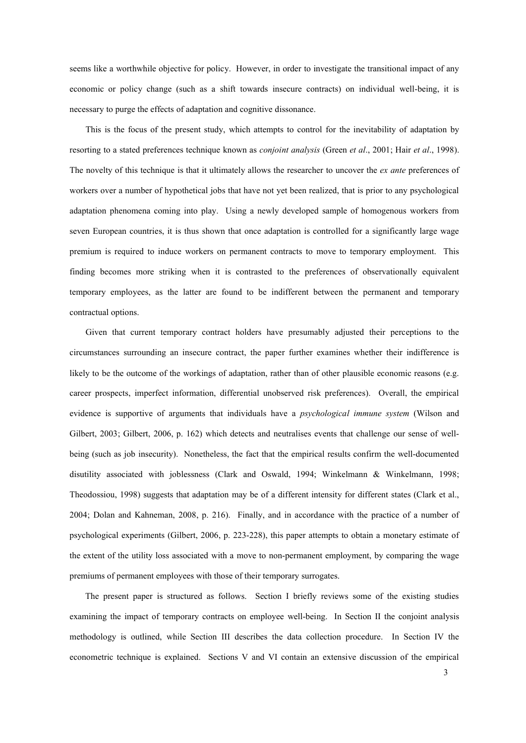seems like a worthwhile objective for policy. However, in order to investigate the transitional impact of any economic or policy change (such as a shift towards insecure contracts) on individual well-being, it is necessary to purge the effects of adaptation and cognitive dissonance.

This is the focus of the present study, which attempts to control for the inevitability of adaptation by resorting to a stated preferences technique known as *conjoint analysis* (Green *et al*., 2001; Hair *et al*., 1998). The novelty of this technique is that it ultimately allows the researcher to uncover the *ex ante* preferences of workers over a number of hypothetical jobs that have not yet been realized, that is prior to any psychological adaptation phenomena coming into play. Using a newly developed sample of homogenous workers from seven European countries, it is thus shown that once adaptation is controlled for a significantly large wage premium is required to induce workers on permanent contracts to move to temporary employment. This finding becomes more striking when it is contrasted to the preferences of observationally equivalent temporary employees, as the latter are found to be indifferent between the permanent and temporary contractual options.

Given that current temporary contract holders have presumably adjusted their perceptions to the circumstances surrounding an insecure contract, the paper further examines whether their indifference is likely to be the outcome of the workings of adaptation, rather than of other plausible economic reasons (e.g. career prospects, imperfect information, differential unobserved risk preferences). Overall, the empirical evidence is supportive of arguments that individuals have a *psychological immune system* (Wilson and Gilbert, 2003; Gilbert, 2006, p. 162) which detects and neutralises events that challenge our sense of wellbeing (such as job insecurity). Nonetheless, the fact that the empirical results confirm the well-documented disutility associated with joblessness (Clark and Oswald, 1994; Winkelmann & Winkelmann, 1998; Theodossiou, 1998) suggests that adaptation may be of a different intensity for different states (Clark et al., 2004; Dolan and Kahneman, 2008, p. 216). Finally, and in accordance with the practice of a number of psychological experiments (Gilbert, 2006, p. 223-228), this paper attempts to obtain a monetary estimate of the extent of the utility loss associated with a move to non-permanent employment, by comparing the wage premiums of permanent employees with those of their temporary surrogates.

The present paper is structured as follows. Section I briefly reviews some of the existing studies examining the impact of temporary contracts on employee well-being. In Section II the conjoint analysis methodology is outlined, while Section III describes the data collection procedure. In Section IV the econometric technique is explained. Sections V and VI contain an extensive discussion of the empirical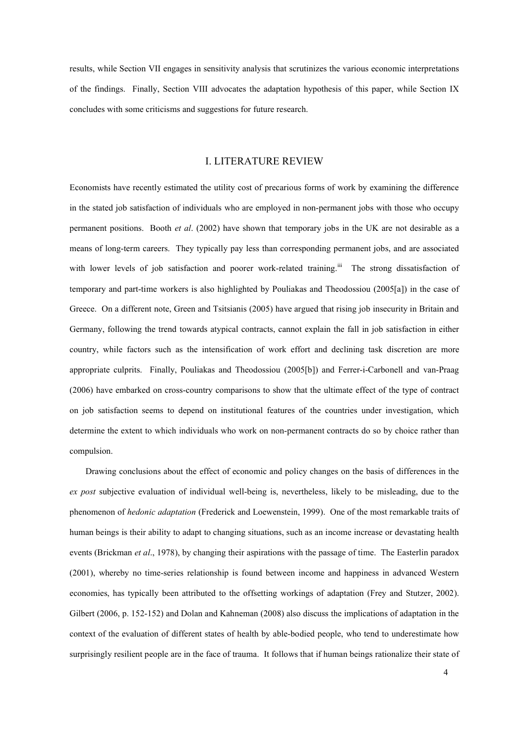results, while Section VII engages in sensitivity analysis that scrutinizes the various economic interpretations of the findings. Finally, Section VIII advocates the adaptation hypothesis of this paper, while Section IX concludes with some criticisms and suggestions for future research.

# I. LITERATURE REVIEW

Economists have recently estimated the utility cost of precarious forms of work by examining the difference in the stated job satisfaction of individuals who are employed in non-permanent jobs with those who occupy permanent positions. Booth *et al*. (2002) have shown that temporary jobs in the UK are not desirable as a means of long-term careers. They typically pay less than corresponding permanent jobs, and are associated with lower levels of job satisfaction and poorer work-related training.<sup>iii</sup> The strong dissatisfaction of temporary and part-time workers is also highlighted by Pouliakas and Theodossiou (2005[a]) in the case of Greece. On a different note, Green and Tsitsianis (2005) have argued that rising job insecurity in Britain and Germany, following the trend towards atypical contracts, cannot explain the fall in job satisfaction in either country, while factors such as the intensification of work effort and declining task discretion are more appropriate culprits. Finally, Pouliakas and Theodossiou (2005[b]) and Ferrer-i-Carbonell and van-Praag (2006) have embarked on cross-country comparisons to show that the ultimate effect of the type of contract on job satisfaction seems to depend on institutional features of the countries under investigation, which determine the extent to which individuals who work on non-permanent contracts do so by choice rather than compulsion.

Drawing conclusions about the effect of economic and policy changes on the basis of differences in the *ex post* subjective evaluation of individual well-being is, nevertheless, likely to be misleading, due to the phenomenon of *hedonic adaptation* (Frederick and Loewenstein, 1999). One of the most remarkable traits of human beings is their ability to adapt to changing situations, such as an income increase or devastating health events (Brickman *et al*., 1978), by changing their aspirations with the passage of time. The Easterlin paradox (2001), whereby no time-series relationship is found between income and happiness in advanced Western economies, has typically been attributed to the offsetting workings of adaptation (Frey and Stutzer, 2002). Gilbert (2006, p. 152-152) and Dolan and Kahneman (2008) also discuss the implications of adaptation in the context of the evaluation of different states of health by able-bodied people, who tend to underestimate how surprisingly resilient people are in the face of trauma. It follows that if human beings rationalize their state of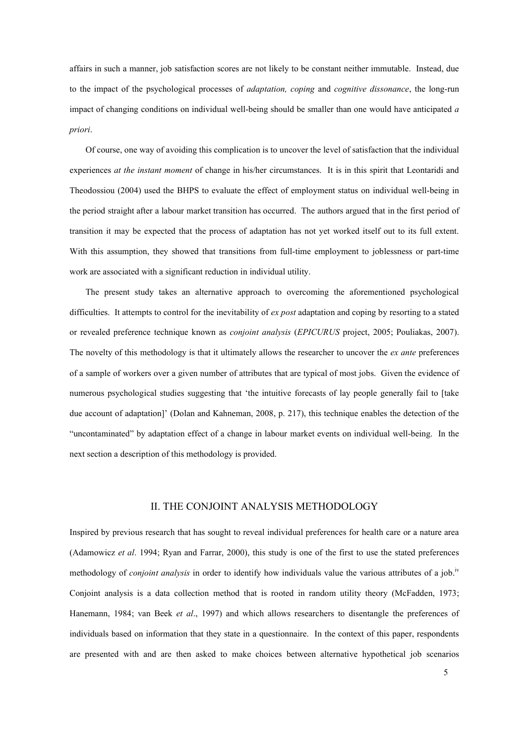affairs in such a manner, job satisfaction scores are not likely to be constant neither immutable. Instead, due to the impact of the psychological processes of *adaptation, coping* and *cognitive dissonance*, the long-run impact of changing conditions on individual well-being should be smaller than one would have anticipated *a priori*.

Of course, one way of avoiding this complication is to uncover the level of satisfaction that the individual experiences *at the instant moment* of change in his/her circumstances. It is in this spirit that Leontaridi and Theodossiou (2004) used the BHPS to evaluate the effect of employment status on individual well-being in the period straight after a labour market transition has occurred. The authors argued that in the first period of transition it may be expected that the process of adaptation has not yet worked itself out to its full extent. With this assumption, they showed that transitions from full-time employment to joblessness or part-time work are associated with a significant reduction in individual utility.

The present study takes an alternative approach to overcoming the aforementioned psychological difficulties. It attempts to control for the inevitability of *ex post* adaptation and coping by resorting to a stated or revealed preference technique known as *conjoint analysis* (*EPICURUS* project, 2005; Pouliakas, 2007). The novelty of this methodology is that it ultimately allows the researcher to uncover the *ex ante* preferences of a sample of workers over a given number of attributes that are typical of most jobs. Given the evidence of numerous psychological studies suggesting that 'the intuitive forecasts of lay people generally fail to [take due account of adaptation]' (Dolan and Kahneman, 2008, p. 217), this technique enables the detection of the "uncontaminated" by adaptation effect of a change in labour market events on individual well-being. In the next section a description of this methodology is provided.

# II. THE CONJOINT ANALYSIS METHODOLOGY

Inspired by previous research that has sought to reveal individual preferences for health care or a nature area (Adamowicz *et al*. 1994; Ryan and Farrar, 2000), this study is one of the first to use the stated preferences methodology of *conjoint analysis* in order to identify how individuals value the various attributes of a job.iv Conjoint analysis is a data collection method that is rooted in random utility theory (McFadden, 1973; Hanemann, 1984; van Beek *et al*., 1997) and which allows researchers to disentangle the preferences of individuals based on information that they state in a questionnaire. In the context of this paper, respondents are presented with and are then asked to make choices between alternative hypothetical job scenarios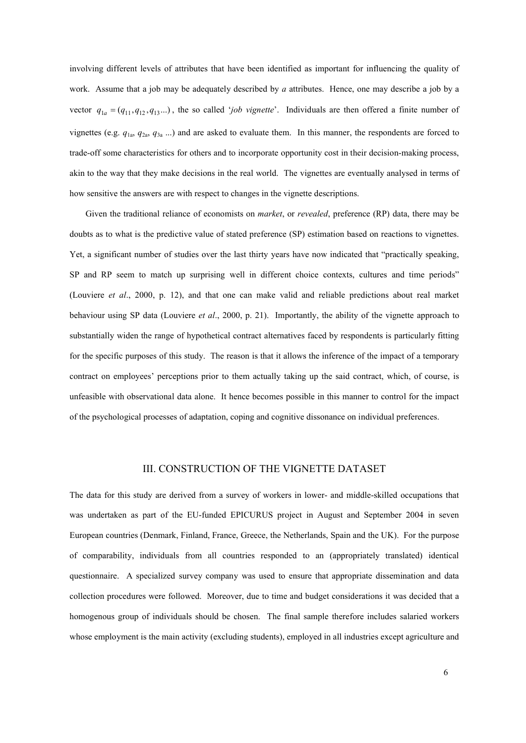involving different levels of attributes that have been identified as important for influencing the quality of work. Assume that a job may be adequately described by *a* attributes. Hence, one may describe a job by a vector  $q_{1a} = (q_{11}, q_{12}, q_{13}...)$ , the so called '*job vignette*'. Individuals are then offered a finite number of vignettes (e.g. *q*1a, *q*2a, *q*3a ...) and are asked to evaluate them. In this manner, the respondents are forced to trade-off some characteristics for others and to incorporate opportunity cost in their decision-making process, akin to the way that they make decisions in the real world. The vignettes are eventually analysed in terms of how sensitive the answers are with respect to changes in the vignette descriptions.

Given the traditional reliance of economists on *market*, or *revealed*, preference (RP) data, there may be doubts as to what is the predictive value of stated preference (SP) estimation based on reactions to vignettes. Yet, a significant number of studies over the last thirty years have now indicated that "practically speaking, SP and RP seem to match up surprising well in different choice contexts, cultures and time periods" (Louviere *et al*., 2000, p. 12), and that one can make valid and reliable predictions about real market behaviour using SP data (Louviere *et al*., 2000, p. 21). Importantly, the ability of the vignette approach to substantially widen the range of hypothetical contract alternatives faced by respondents is particularly fitting for the specific purposes of this study. The reason is that it allows the inference of the impact of a temporary contract on employees' perceptions prior to them actually taking up the said contract, which, of course, is unfeasible with observational data alone. It hence becomes possible in this manner to control for the impact of the psychological processes of adaptation, coping and cognitive dissonance on individual preferences.

# III. CONSTRUCTION OF THE VIGNETTE DATASET

The data for this study are derived from a survey of workers in lower- and middle-skilled occupations that was undertaken as part of the EU-funded EPICURUS project in August and September 2004 in seven European countries (Denmark, Finland, France, Greece, the Netherlands, Spain and the UK). For the purpose of comparability, individuals from all countries responded to an (appropriately translated) identical questionnaire. A specialized survey company was used to ensure that appropriate dissemination and data collection procedures were followed. Moreover, due to time and budget considerations it was decided that a homogenous group of individuals should be chosen. The final sample therefore includes salaried workers whose employment is the main activity (excluding students), employed in all industries except agriculture and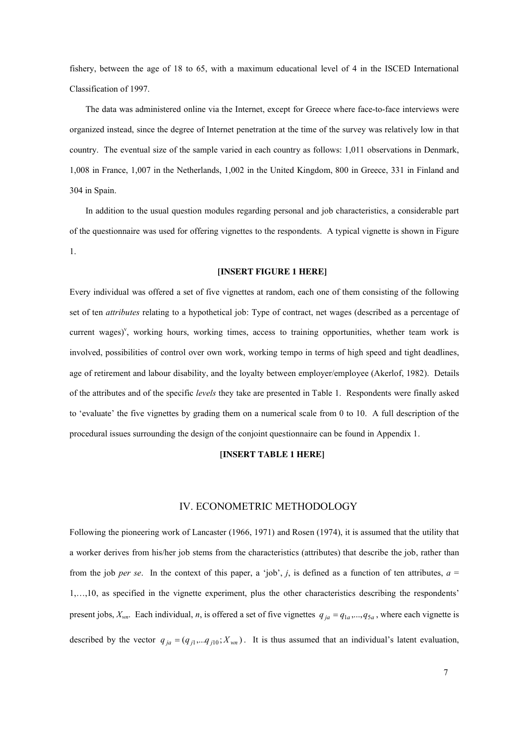fishery, between the age of 18 to 65, with a maximum educational level of 4 in the ISCED International Classification of 1997.

The data was administered online via the Internet, except for Greece where face-to-face interviews were organized instead, since the degree of Internet penetration at the time of the survey was relatively low in that country. The eventual size of the sample varied in each country as follows: 1,011 observations in Denmark, 1,008 in France, 1,007 in the Netherlands, 1,002 in the United Kingdom, 800 in Greece, 331 in Finland and 304 in Spain.

In addition to the usual question modules regarding personal and job characteristics, a considerable part of the questionnaire was used for offering vignettes to the respondents. A typical vignette is shown in Figure 1.

#### **[INSERT FIGURE 1 HERE]**

Every individual was offered a set of five vignettes at random, each one of them consisting of the following set of ten *attributes* relating to a hypothetical job: Type of contract, net wages (described as a percentage of current wages)<sup>v</sup>, working hours, working times, access to training opportunities, whether team work is involved, possibilities of control over own work, working tempo in terms of high speed and tight deadlines, age of retirement and labour disability, and the loyalty between employer/employee (Akerlof, 1982). Details of the attributes and of the specific *levels* they take are presented in Table 1. Respondents were finally asked to 'evaluate' the five vignettes by grading them on a numerical scale from 0 to 10. A full description of the procedural issues surrounding the design of the conjoint questionnaire can be found in Appendix 1.

#### **[INSERT TABLE 1 HERE]**

### IV. ECONOMETRIC METHODOLOGY

Following the pioneering work of Lancaster (1966, 1971) and Rosen (1974), it is assumed that the utility that a worker derives from his/her job stems from the characteristics (attributes) that describe the job, rather than from the job *per se*. In the context of this paper, a 'job', *j*, is defined as a function of ten attributes,  $a =$ 1,…,10, as specified in the vignette experiment, plus the other characteristics describing the respondents' present jobs,  $X_{wn}$ . Each individual, *n*, is offered a set of five vignettes  $q_{ja} = q_{1a},...,q_{5a}$ , where each vignette is described by the vector  $q_{ja} = (q_{j1}, \ldots q_{j10}; X_{wn})$ . It is thus assumed that an individual's latent evaluation,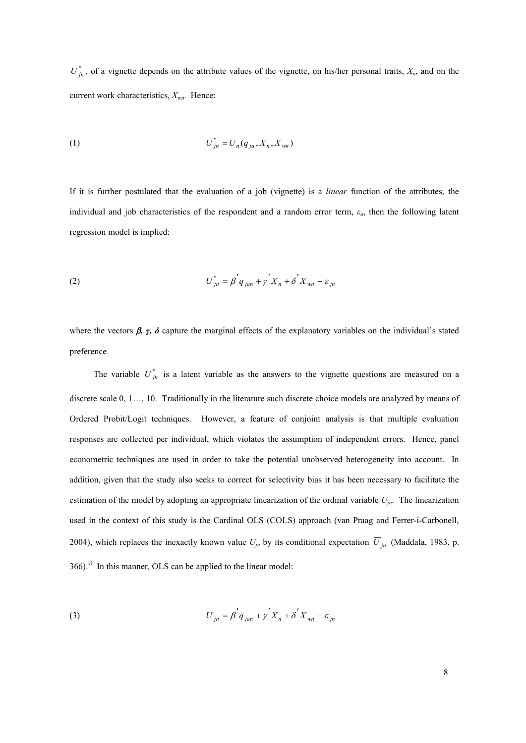$U_{in}^*$ , of a vignette depends on the attribute values of the vignette, on his/her personal traits,  $X_n$ , and on the current work characteristics, *Xwn*. Hence:

(1) 
$$
U_{jn}^* = U_n(q_{ja}, X_n, X_{wn})
$$

If it is further postulated that the evaluation of a job (vignette) is a *linear* function of the attributes, the individual and job characteristics of the respondent and a random error term, *εn*, then the following latent regression model is implied:

(2) 
$$
U_{jn}^{*} = \beta^{'}q_{jan} + \gamma^{'}X_{n} + \delta^{'}X_{wn} + \varepsilon_{jn}
$$

where the vectors  $\beta$ ,  $\gamma$ ,  $\delta$  capture the marginal effects of the explanatory variables on the individual's stated preference.

The variable  $U_{jn}^*$  is a latent variable as the answers to the vignette questions are measured on a discrete scale 0, 1…, 10. Traditionally in the literature such discrete choice models are analyzed by means of Ordered Probit/Logit techniques. However, a feature of conjoint analysis is that multiple evaluation responses are collected per individual, which violates the assumption of independent errors. Hence, panel econometric techniques are used in order to take the potential unobserved heterogeneity into account. In addition, given that the study also seeks to correct for selectivity bias it has been necessary to facilitate the estimation of the model by adopting an appropriate linearization of the ordinal variable *Ujn*. The linearization used in the context of this study is the Cardinal OLS (COLS) approach (van Praag and Ferrer-i-Carbonell, 2004), which replaces the inexactly known value  $U_{jn}$  by its conditional expectation  $\overline{U}_{jn}$  (Maddala, 1983, p.  $366$ ).<sup>vi</sup> In this manner, OLS can be applied to the linear model:

(3) 
$$
\overline{U}_{jn} = \beta' q_{jan} + \gamma' X_n + \delta' X_{wn} + \varepsilon_{jn}
$$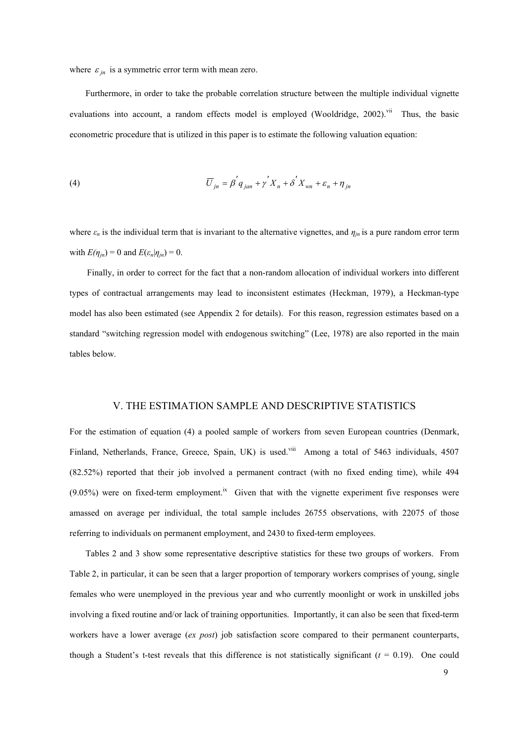where  $\varepsilon_{in}$  is a symmetric error term with mean zero.

Furthermore, in order to take the probable correlation structure between the multiple individual vignette evaluations into account, a random effects model is employed (Wooldridge, 2002).<sup>vii</sup> Thus, the basic econometric procedure that is utilized in this paper is to estimate the following valuation equation:

(4) 
$$
\overline{U}_{jn} = \beta' q_{jan} + \gamma' X_n + \delta' X_{wn} + \varepsilon_n + \eta_{jn}
$$

where  $\varepsilon_n$  is the individual term that is invariant to the alternative vignettes, and  $\eta_{in}$  is a pure random error term with  $E(\eta_{in}) = 0$  and  $E(\varepsilon_n | \eta_{in}) = 0$ .

Finally, in order to correct for the fact that a non-random allocation of individual workers into different types of contractual arrangements may lead to inconsistent estimates (Heckman, 1979), a Heckman-type model has also been estimated (see Appendix 2 for details). For this reason, regression estimates based on a standard "switching regression model with endogenous switching" (Lee, 1978) are also reported in the main tables below.

### V. THE ESTIMATION SAMPLE AND DESCRIPTIVE STATISTICS

For the estimation of equation (4) a pooled sample of workers from seven European countries (Denmark, Finland, Netherlands, France, Greece, Spain, UK) is used.<sup>viii</sup> Among a total of 5463 individuals, 4507 (82.52%) reported that their job involved a permanent contract (with no fixed ending time), while 494  $(9.05%)$  were on fixed-term employment.<sup>ix</sup> Given that with the vignette experiment five responses were amassed on average per individual, the total sample includes 26755 observations, with 22075 of those referring to individuals on permanent employment, and 2430 to fixed-term employees.

Tables 2 and 3 show some representative descriptive statistics for these two groups of workers. From Table 2, in particular, it can be seen that a larger proportion of temporary workers comprises of young, single females who were unemployed in the previous year and who currently moonlight or work in unskilled jobs involving a fixed routine and/or lack of training opportunities. Importantly, it can also be seen that fixed-term workers have a lower average (*ex post*) job satisfaction score compared to their permanent counterparts, though a Student's t-test reveals that this difference is not statistically significant  $(t = 0.19)$ . One could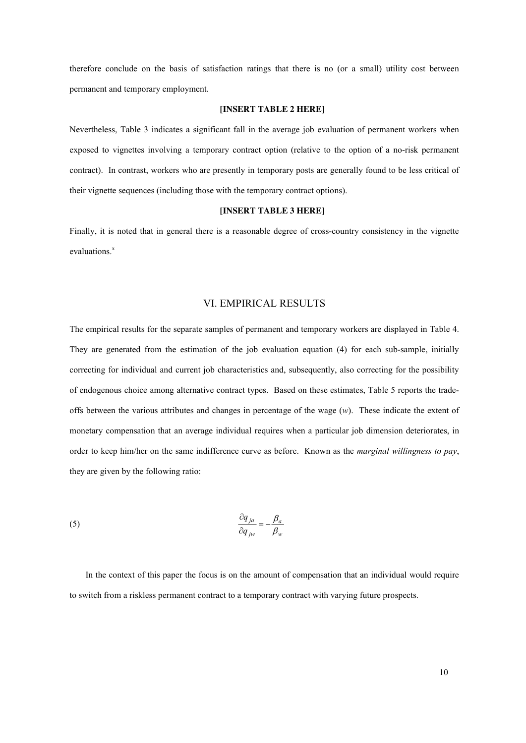therefore conclude on the basis of satisfaction ratings that there is no (or a small) utility cost between permanent and temporary employment.

#### **[INSERT TABLE 2 HERE]**

Nevertheless, Table 3 indicates a significant fall in the average job evaluation of permanent workers when exposed to vignettes involving a temporary contract option (relative to the option of a no-risk permanent contract). In contrast, workers who are presently in temporary posts are generally found to be less critical of their vignette sequences (including those with the temporary contract options).

#### **[INSERT TABLE 3 HERE]**

Finally, it is noted that in general there is a reasonable degree of cross-country consistency in the vignette evaluations.<sup>x</sup>

### VI. EMPIRICAL RESULTS

The empirical results for the separate samples of permanent and temporary workers are displayed in Table 4. They are generated from the estimation of the job evaluation equation (4) for each sub-sample, initially correcting for individual and current job characteristics and, subsequently, also correcting for the possibility of endogenous choice among alternative contract types. Based on these estimates, Table 5 reports the tradeoffs between the various attributes and changes in percentage of the wage (*w*). These indicate the extent of monetary compensation that an average individual requires when a particular job dimension deteriorates, in order to keep him/her on the same indifference curve as before. Known as the *marginal willingness to pay*, they are given by the following ratio:

$$
\frac{\partial q_{ja}}{\partial q_{jw}} = -\frac{\beta_a}{\beta_w}
$$

In the context of this paper the focus is on the amount of compensation that an individual would require to switch from a riskless permanent contract to a temporary contract with varying future prospects.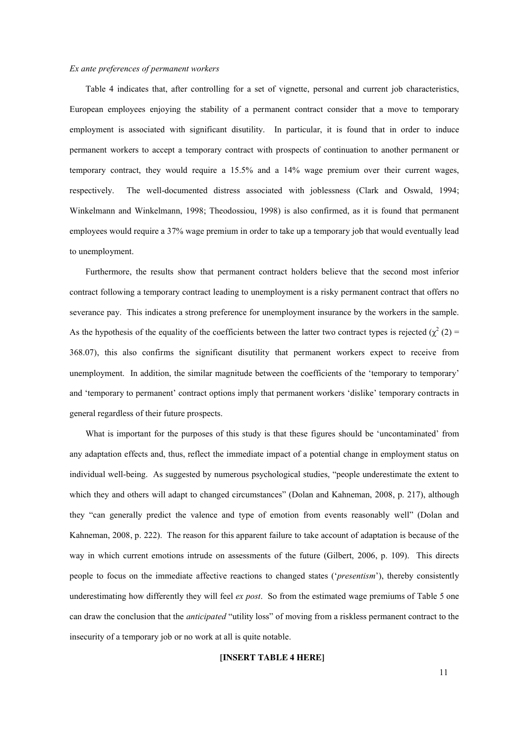#### *Ex ante preferences of permanent workers*

Table 4 indicates that, after controlling for a set of vignette, personal and current job characteristics, European employees enjoying the stability of a permanent contract consider that a move to temporary employment is associated with significant disutility. In particular, it is found that in order to induce permanent workers to accept a temporary contract with prospects of continuation to another permanent or temporary contract, they would require a 15.5% and a 14% wage premium over their current wages, respectively. The well-documented distress associated with joblessness (Clark and Oswald, 1994; Winkelmann and Winkelmann, 1998; Theodossiou, 1998) is also confirmed, as it is found that permanent employees would require a 37% wage premium in order to take up a temporary job that would eventually lead to unemployment.

Furthermore, the results show that permanent contract holders believe that the second most inferior contract following a temporary contract leading to unemployment is a risky permanent contract that offers no severance pay. This indicates a strong preference for unemployment insurance by the workers in the sample. As the hypothesis of the equality of the coefficients between the latter two contract types is rejected ( $\chi^2$  (2) = 368.07), this also confirms the significant disutility that permanent workers expect to receive from unemployment. In addition, the similar magnitude between the coefficients of the 'temporary to temporary' and 'temporary to permanent' contract options imply that permanent workers 'dislike' temporary contracts in general regardless of their future prospects.

What is important for the purposes of this study is that these figures should be 'uncontaminated' from any adaptation effects and, thus, reflect the immediate impact of a potential change in employment status on individual well-being. As suggested by numerous psychological studies, "people underestimate the extent to which they and others will adapt to changed circumstances" (Dolan and Kahneman, 2008, p. 217), although they "can generally predict the valence and type of emotion from events reasonably well" (Dolan and Kahneman, 2008, p. 222). The reason for this apparent failure to take account of adaptation is because of the way in which current emotions intrude on assessments of the future (Gilbert, 2006, p. 109). This directs people to focus on the immediate affective reactions to changed states ('*presentism*'), thereby consistently underestimating how differently they will feel *ex post*. So from the estimated wage premiums of Table 5 one can draw the conclusion that the *anticipated* "utility loss" of moving from a riskless permanent contract to the insecurity of a temporary job or no work at all is quite notable.

#### **[INSERT TABLE 4 HERE]**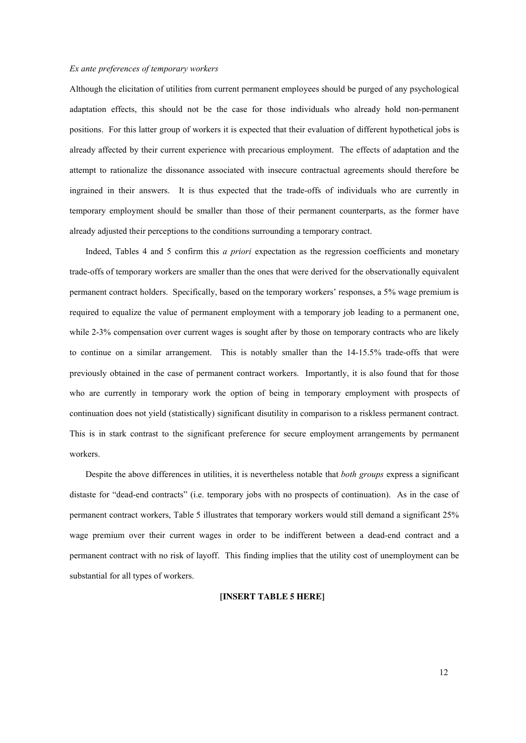#### *Ex ante preferences of temporary workers*

Although the elicitation of utilities from current permanent employees should be purged of any psychological adaptation effects, this should not be the case for those individuals who already hold non-permanent positions. For this latter group of workers it is expected that their evaluation of different hypothetical jobs is already affected by their current experience with precarious employment. The effects of adaptation and the attempt to rationalize the dissonance associated with insecure contractual agreements should therefore be ingrained in their answers. It is thus expected that the trade-offs of individuals who are currently in temporary employment should be smaller than those of their permanent counterparts, as the former have already adjusted their perceptions to the conditions surrounding a temporary contract.

Indeed, Tables 4 and 5 confirm this *a priori* expectation as the regression coefficients and monetary trade-offs of temporary workers are smaller than the ones that were derived for the observationally equivalent permanent contract holders. Specifically, based on the temporary workers' responses, a 5% wage premium is required to equalize the value of permanent employment with a temporary job leading to a permanent one, while 2-3% compensation over current wages is sought after by those on temporary contracts who are likely to continue on a similar arrangement. This is notably smaller than the 14-15.5% trade-offs that were previously obtained in the case of permanent contract workers. Importantly, it is also found that for those who are currently in temporary work the option of being in temporary employment with prospects of continuation does not yield (statistically) significant disutility in comparison to a riskless permanent contract. This is in stark contrast to the significant preference for secure employment arrangements by permanent workers.

Despite the above differences in utilities, it is nevertheless notable that *both groups* express a significant distaste for "dead-end contracts" (i.e. temporary jobs with no prospects of continuation). As in the case of permanent contract workers, Table 5 illustrates that temporary workers would still demand a significant 25% wage premium over their current wages in order to be indifferent between a dead-end contract and a permanent contract with no risk of layoff. This finding implies that the utility cost of unemployment can be substantial for all types of workers.

# **[INSERT TABLE 5 HERE]**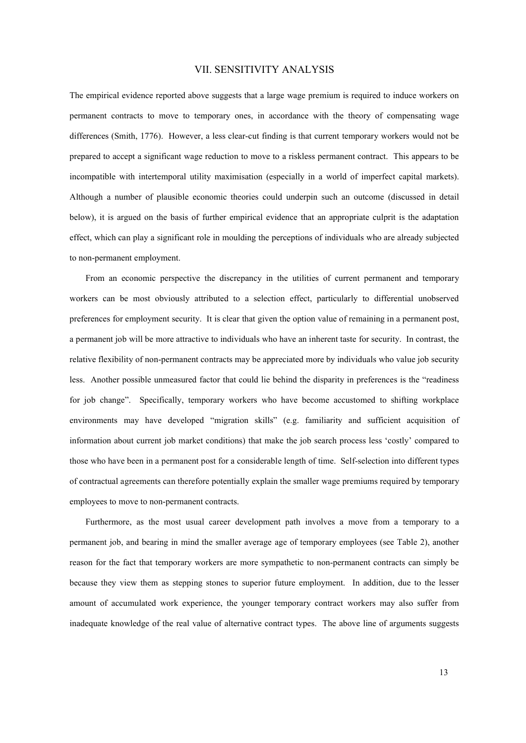#### VII. SENSITIVITY ANALYSIS

The empirical evidence reported above suggests that a large wage premium is required to induce workers on permanent contracts to move to temporary ones, in accordance with the theory of compensating wage differences (Smith, 1776). However, a less clear-cut finding is that current temporary workers would not be prepared to accept a significant wage reduction to move to a riskless permanent contract. This appears to be incompatible with intertemporal utility maximisation (especially in a world of imperfect capital markets). Although a number of plausible economic theories could underpin such an outcome (discussed in detail below), it is argued on the basis of further empirical evidence that an appropriate culprit is the adaptation effect, which can play a significant role in moulding the perceptions of individuals who are already subjected to non-permanent employment.

From an economic perspective the discrepancy in the utilities of current permanent and temporary workers can be most obviously attributed to a selection effect, particularly to differential unobserved preferences for employment security. It is clear that given the option value of remaining in a permanent post, a permanent job will be more attractive to individuals who have an inherent taste for security. In contrast, the relative flexibility of non-permanent contracts may be appreciated more by individuals who value job security less. Another possible unmeasured factor that could lie behind the disparity in preferences is the "readiness for job change". Specifically, temporary workers who have become accustomed to shifting workplace environments may have developed "migration skills" (e.g. familiarity and sufficient acquisition of information about current job market conditions) that make the job search process less 'costly' compared to those who have been in a permanent post for a considerable length of time. Self-selection into different types of contractual agreements can therefore potentially explain the smaller wage premiums required by temporary employees to move to non-permanent contracts.

Furthermore, as the most usual career development path involves a move from a temporary to a permanent job, and bearing in mind the smaller average age of temporary employees (see Table 2), another reason for the fact that temporary workers are more sympathetic to non-permanent contracts can simply be because they view them as stepping stones to superior future employment. In addition, due to the lesser amount of accumulated work experience, the younger temporary contract workers may also suffer from inadequate knowledge of the real value of alternative contract types. The above line of arguments suggests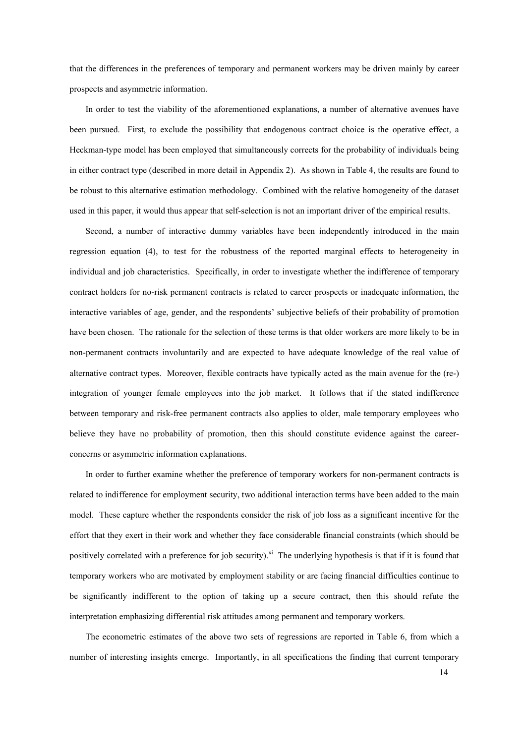that the differences in the preferences of temporary and permanent workers may be driven mainly by career prospects and asymmetric information.

In order to test the viability of the aforementioned explanations, a number of alternative avenues have been pursued. First, to exclude the possibility that endogenous contract choice is the operative effect, a Heckman-type model has been employed that simultaneously corrects for the probability of individuals being in either contract type (described in more detail in Appendix 2). As shown in Table 4, the results are found to be robust to this alternative estimation methodology. Combined with the relative homogeneity of the dataset used in this paper, it would thus appear that self-selection is not an important driver of the empirical results.

Second, a number of interactive dummy variables have been independently introduced in the main regression equation (4), to test for the robustness of the reported marginal effects to heterogeneity in individual and job characteristics. Specifically, in order to investigate whether the indifference of temporary contract holders for no-risk permanent contracts is related to career prospects or inadequate information, the interactive variables of age, gender, and the respondents' subjective beliefs of their probability of promotion have been chosen. The rationale for the selection of these terms is that older workers are more likely to be in non-permanent contracts involuntarily and are expected to have adequate knowledge of the real value of alternative contract types. Moreover, flexible contracts have typically acted as the main avenue for the (re-) integration of younger female employees into the job market. It follows that if the stated indifference between temporary and risk-free permanent contracts also applies to older, male temporary employees who believe they have no probability of promotion, then this should constitute evidence against the careerconcerns or asymmetric information explanations.

In order to further examine whether the preference of temporary workers for non-permanent contracts is related to indifference for employment security, two additional interaction terms have been added to the main model. These capture whether the respondents consider the risk of job loss as a significant incentive for the effort that they exert in their work and whether they face considerable financial constraints (which should be positively correlated with a preference for job security).<sup>xi</sup> The underlying hypothesis is that if it is found that temporary workers who are motivated by employment stability or are facing financial difficulties continue to be significantly indifferent to the option of taking up a secure contract, then this should refute the interpretation emphasizing differential risk attitudes among permanent and temporary workers.

The econometric estimates of the above two sets of regressions are reported in Table 6, from which a number of interesting insights emerge. Importantly, in all specifications the finding that current temporary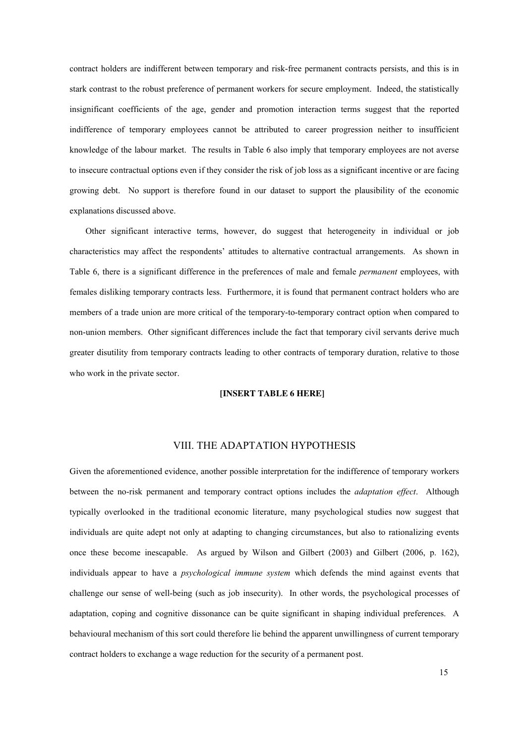contract holders are indifferent between temporary and risk-free permanent contracts persists, and this is in stark contrast to the robust preference of permanent workers for secure employment. Indeed, the statistically insignificant coefficients of the age, gender and promotion interaction terms suggest that the reported indifference of temporary employees cannot be attributed to career progression neither to insufficient knowledge of the labour market. The results in Table 6 also imply that temporary employees are not averse to insecure contractual options even if they consider the risk of job loss as a significant incentive or are facing growing debt. No support is therefore found in our dataset to support the plausibility of the economic explanations discussed above.

Other significant interactive terms, however, do suggest that heterogeneity in individual or job characteristics may affect the respondents' attitudes to alternative contractual arrangements. As shown in Table 6, there is a significant difference in the preferences of male and female *permanent* employees, with females disliking temporary contracts less. Furthermore, it is found that permanent contract holders who are members of a trade union are more critical of the temporary-to-temporary contract option when compared to non-union members. Other significant differences include the fact that temporary civil servants derive much greater disutility from temporary contracts leading to other contracts of temporary duration, relative to those who work in the private sector.

#### **[INSERT TABLE 6 HERE]**

#### VIII. THE ADAPTATION HYPOTHESIS

Given the aforementioned evidence, another possible interpretation for the indifference of temporary workers between the no-risk permanent and temporary contract options includes the *adaptation effect*. Although typically overlooked in the traditional economic literature, many psychological studies now suggest that individuals are quite adept not only at adapting to changing circumstances, but also to rationalizing events once these become inescapable. As argued by Wilson and Gilbert (2003) and Gilbert (2006, p. 162), individuals appear to have a *psychological immune system* which defends the mind against events that challenge our sense of well-being (such as job insecurity). In other words, the psychological processes of adaptation, coping and cognitive dissonance can be quite significant in shaping individual preferences. A behavioural mechanism of this sort could therefore lie behind the apparent unwillingness of current temporary contract holders to exchange a wage reduction for the security of a permanent post.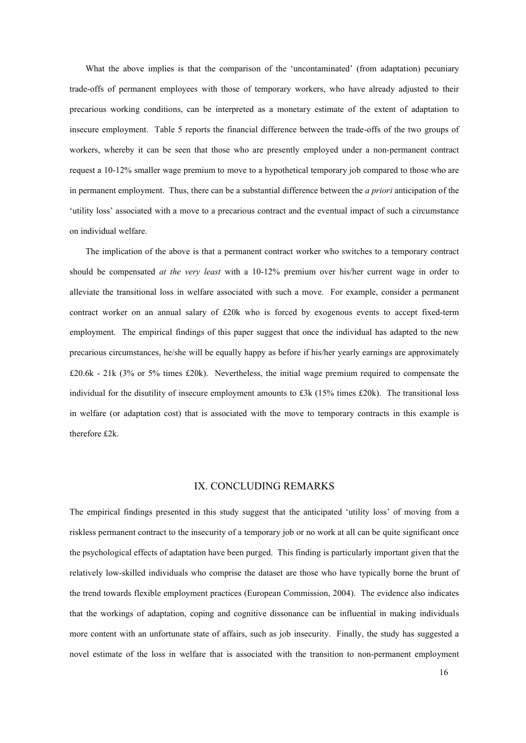What the above implies is that the comparison of the 'uncontaminated' (from adaptation) pecuniary trade-offs of permanent employees with those of temporary workers, who have already adjusted to their precarious working conditions, can be interpreted as a monetary estimate of the extent of adaptation to insecure employment. Table 5 reports the financial difference between the trade-offs of the two groups of workers, whereby it can be seen that those who are presently employed under a non-permanent contract request a 10-12% smaller wage premium to move to a hypothetical temporary job compared to those who are in permanent employment. Thus, there can be a substantial difference between the *a priori* anticipation of the 'utility loss' associated with a move to a precarious contract and the eventual impact of such a circumstance on individual welfare.

The implication of the above is that a permanent contract worker who switches to a temporary contract should be compensated *at the very least* with a 10-12% premium over his/her current wage in order to alleviate the transitional loss in welfare associated with such a move. For example, consider a permanent contract worker on an annual salary of £20k who is forced by exogenous events to accept fixed-term employment. The empirical findings of this paper suggest that once the individual has adapted to the new precarious circumstances, he/she will be equally happy as before if his/her yearly earnings are approximately £20.6k - 21k (3% or 5% times £20k). Nevertheless, the initial wage premium required to compensate the individual for the disutility of insecure employment amounts to  $\text{\pounds}3k$  (15% times  $\text{\pounds}20k$ ). The transitional loss in welfare (or adaptation cost) that is associated with the move to temporary contracts in this example is therefore £2k.

#### IX. CONCLUDING REMARKS

The empirical findings presented in this study suggest that the anticipated 'utility loss' of moving from a riskless permanent contract to the insecurity of a temporary job or no work at all can be quite significant once the psychological effects of adaptation have been purged. This finding is particularly important given that the relatively low-skilled individuals who comprise the dataset are those who have typically borne the brunt of the trend towards flexible employment practices (European Commission, 2004). The evidence also indicates that the workings of adaptation, coping and cognitive dissonance can be influential in making individuals more content with an unfortunate state of affairs, such as job insecurity. Finally, the study has suggested a novel estimate of the loss in welfare that is associated with the transition to non-permanent employment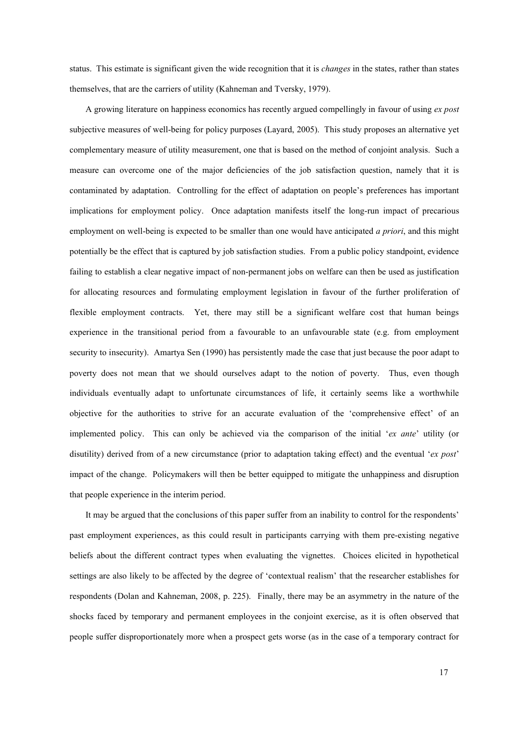status. This estimate is significant given the wide recognition that it is *changes* in the states, rather than states themselves, that are the carriers of utility (Kahneman and Tversky, 1979).

A growing literature on happiness economics has recently argued compellingly in favour of using *ex post* subjective measures of well-being for policy purposes (Layard, 2005). This study proposes an alternative yet complementary measure of utility measurement, one that is based on the method of conjoint analysis. Such a measure can overcome one of the major deficiencies of the job satisfaction question, namely that it is contaminated by adaptation. Controlling for the effect of adaptation on people's preferences has important implications for employment policy. Once adaptation manifests itself the long-run impact of precarious employment on well-being is expected to be smaller than one would have anticipated *a priori*, and this might potentially be the effect that is captured by job satisfaction studies. From a public policy standpoint, evidence failing to establish a clear negative impact of non-permanent jobs on welfare can then be used as justification for allocating resources and formulating employment legislation in favour of the further proliferation of flexible employment contracts. Yet, there may still be a significant welfare cost that human beings experience in the transitional period from a favourable to an unfavourable state (e.g. from employment security to insecurity). Amartya Sen (1990) has persistently made the case that just because the poor adapt to poverty does not mean that we should ourselves adapt to the notion of poverty. Thus, even though individuals eventually adapt to unfortunate circumstances of life, it certainly seems like a worthwhile objective for the authorities to strive for an accurate evaluation of the 'comprehensive effect' of an implemented policy. This can only be achieved via the comparison of the initial '*ex ante*' utility (or disutility) derived from of a new circumstance (prior to adaptation taking effect) and the eventual '*ex post*' impact of the change. Policymakers will then be better equipped to mitigate the unhappiness and disruption that people experience in the interim period.

It may be argued that the conclusions of this paper suffer from an inability to control for the respondents' past employment experiences, as this could result in participants carrying with them pre-existing negative beliefs about the different contract types when evaluating the vignettes. Choices elicited in hypothetical settings are also likely to be affected by the degree of 'contextual realism' that the researcher establishes for respondents (Dolan and Kahneman, 2008, p. 225). Finally, there may be an asymmetry in the nature of the shocks faced by temporary and permanent employees in the conjoint exercise, as it is often observed that people suffer disproportionately more when a prospect gets worse (as in the case of a temporary contract for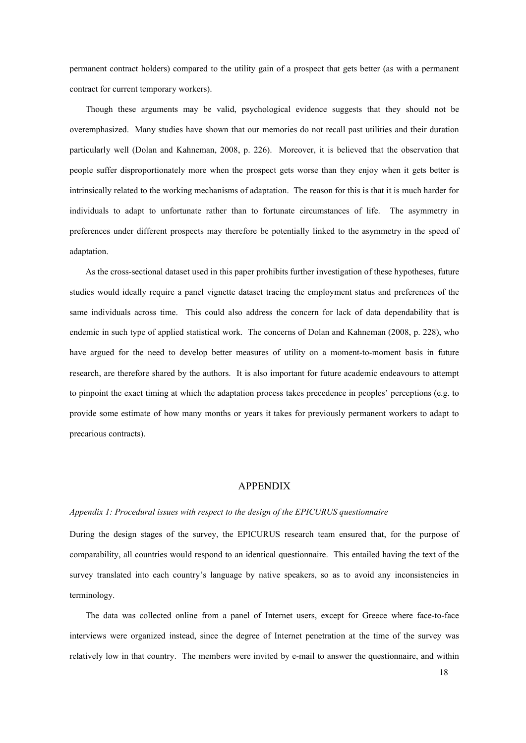permanent contract holders) compared to the utility gain of a prospect that gets better (as with a permanent contract for current temporary workers).

Though these arguments may be valid, psychological evidence suggests that they should not be overemphasized. Many studies have shown that our memories do not recall past utilities and their duration particularly well (Dolan and Kahneman, 2008, p. 226). Moreover, it is believed that the observation that people suffer disproportionately more when the prospect gets worse than they enjoy when it gets better is intrinsically related to the working mechanisms of adaptation. The reason for this is that it is much harder for individuals to adapt to unfortunate rather than to fortunate circumstances of life. The asymmetry in preferences under different prospects may therefore be potentially linked to the asymmetry in the speed of adaptation.

As the cross-sectional dataset used in this paper prohibits further investigation of these hypotheses, future studies would ideally require a panel vignette dataset tracing the employment status and preferences of the same individuals across time. This could also address the concern for lack of data dependability that is endemic in such type of applied statistical work. The concerns of Dolan and Kahneman (2008, p. 228), who have argued for the need to develop better measures of utility on a moment-to-moment basis in future research, are therefore shared by the authors. It is also important for future academic endeavours to attempt to pinpoint the exact timing at which the adaptation process takes precedence in peoples' perceptions (e.g. to provide some estimate of how many months or years it takes for previously permanent workers to adapt to precarious contracts).

#### APPENDIX

#### *Appendix 1: Procedural issues with respect to the design of the EPICURUS questionnaire*

During the design stages of the survey, the EPICURUS research team ensured that, for the purpose of comparability, all countries would respond to an identical questionnaire. This entailed having the text of the survey translated into each country's language by native speakers, so as to avoid any inconsistencies in terminology.

The data was collected online from a panel of Internet users, except for Greece where face-to-face interviews were organized instead, since the degree of Internet penetration at the time of the survey was relatively low in that country. The members were invited by e-mail to answer the questionnaire, and within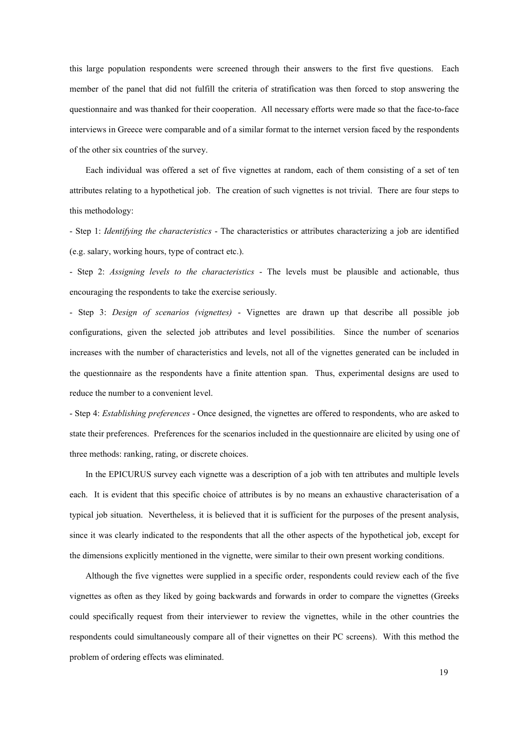this large population respondents were screened through their answers to the first five questions. Each member of the panel that did not fulfill the criteria of stratification was then forced to stop answering the questionnaire and was thanked for their cooperation. All necessary efforts were made so that the face-to-face interviews in Greece were comparable and of a similar format to the internet version faced by the respondents of the other six countries of the survey.

Each individual was offered a set of five vignettes at random, each of them consisting of a set of ten attributes relating to a hypothetical job. The creation of such vignettes is not trivial. There are four steps to this methodology:

- Step 1: *Identifying the characteristics* - The characteristics or attributes characterizing a job are identified (e.g. salary, working hours, type of contract etc.).

- Step 2: *Assigning levels to the characteristics* - The levels must be plausible and actionable, thus encouraging the respondents to take the exercise seriously.

- Step 3: *Design of scenarios (vignettes)* - Vignettes are drawn up that describe all possible job configurations, given the selected job attributes and level possibilities. Since the number of scenarios increases with the number of characteristics and levels, not all of the vignettes generated can be included in the questionnaire as the respondents have a finite attention span. Thus, experimental designs are used to reduce the number to a convenient level.

- Step 4: *Establishing preferences* - Once designed, the vignettes are offered to respondents, who are asked to state their preferences. Preferences for the scenarios included in the questionnaire are elicited by using one of three methods: ranking, rating, or discrete choices.

In the EPICURUS survey each vignette was a description of a job with ten attributes and multiple levels each. It is evident that this specific choice of attributes is by no means an exhaustive characterisation of a typical job situation. Nevertheless, it is believed that it is sufficient for the purposes of the present analysis, since it was clearly indicated to the respondents that all the other aspects of the hypothetical job, except for the dimensions explicitly mentioned in the vignette, were similar to their own present working conditions.

Although the five vignettes were supplied in a specific order, respondents could review each of the five vignettes as often as they liked by going backwards and forwards in order to compare the vignettes (Greeks could specifically request from their interviewer to review the vignettes, while in the other countries the respondents could simultaneously compare all of their vignettes on their PC screens). With this method the problem of ordering effects was eliminated.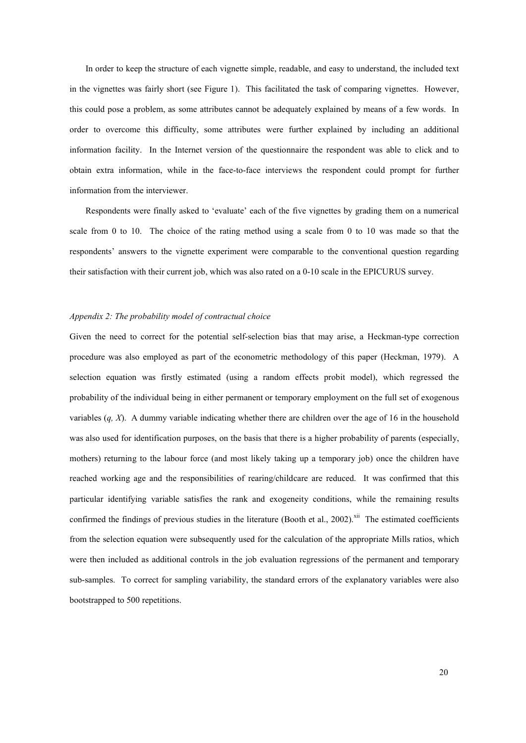In order to keep the structure of each vignette simple, readable, and easy to understand, the included text in the vignettes was fairly short (see Figure 1). This facilitated the task of comparing vignettes. However, this could pose a problem, as some attributes cannot be adequately explained by means of a few words. In order to overcome this difficulty, some attributes were further explained by including an additional information facility. In the Internet version of the questionnaire the respondent was able to click and to obtain extra information, while in the face-to-face interviews the respondent could prompt for further information from the interviewer.

Respondents were finally asked to 'evaluate' each of the five vignettes by grading them on a numerical scale from 0 to 10. The choice of the rating method using a scale from 0 to 10 was made so that the respondents' answers to the vignette experiment were comparable to the conventional question regarding their satisfaction with their current job, which was also rated on a 0-10 scale in the EPICURUS survey.

#### *Appendix 2: The probability model of contractual choice*

Given the need to correct for the potential self-selection bias that may arise, a Heckman-type correction procedure was also employed as part of the econometric methodology of this paper (Heckman, 1979). A selection equation was firstly estimated (using a random effects probit model), which regressed the probability of the individual being in either permanent or temporary employment on the full set of exogenous variables (*q, X*). A dummy variable indicating whether there are children over the age of 16 in the household was also used for identification purposes, on the basis that there is a higher probability of parents (especially, mothers) returning to the labour force (and most likely taking up a temporary job) once the children have reached working age and the responsibilities of rearing/childcare are reduced. It was confirmed that this particular identifying variable satisfies the rank and exogeneity conditions, while the remaining results confirmed the findings of previous studies in the literature (Booth et al., 2002). $x^{11}$  The estimated coefficients from the selection equation were subsequently used for the calculation of the appropriate Mills ratios, which were then included as additional controls in the job evaluation regressions of the permanent and temporary sub-samples. To correct for sampling variability, the standard errors of the explanatory variables were also bootstrapped to 500 repetitions.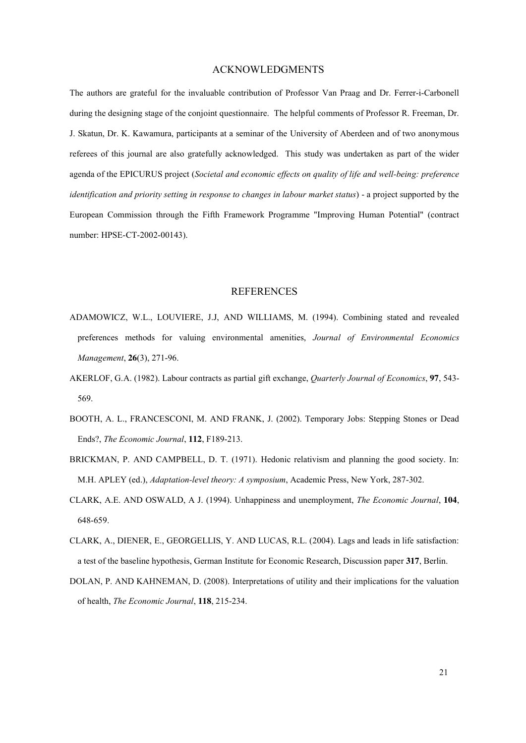#### ACKNOWLEDGMENTS

The authors are grateful for the invaluable contribution of Professor Van Praag and Dr. Ferrer-i-Carbonell during the designing stage of the conjoint questionnaire. The helpful comments of Professor R. Freeman, Dr. J. Skatun, Dr. K. Kawamura, participants at a seminar of the University of Aberdeen and of two anonymous referees of this journal are also gratefully acknowledged. This study was undertaken as part of the wider agenda of the EPICURUS project (*Societal and economic effects on quality of life and well-being: preference identification and priority setting in response to changes in labour market status*) - a project supported by the European Commission through the Fifth Framework Programme "Improving Human Potential" (contract number: HPSE-CT-2002-00143).

# **REFERENCES**

- ADAMOWICZ, W.L., LOUVIERE, J.J, AND WILLIAMS, M. (1994). Combining stated and revealed preferences methods for valuing environmental amenities, *Journal of Environmental Economics Management*, **26**(3), 271-96.
- AKERLOF, G.A. (1982). Labour contracts as partial gift exchange, *Quarterly Journal of Economics*, **97**, 543- 569.
- BOOTH, A. L., FRANCESCONI, M. AND FRANK, J. (2002). Temporary Jobs: Stepping Stones or Dead Ends?, *The Economic Journal*, **112**, F189-213.
- BRICKMAN, P. AND CAMPBELL, D. T. (1971). Hedonic relativism and planning the good society. In: M.H. APLEY (ed.), *Adaptation-level theory: A symposium*, Academic Press, New York, 287-302.
- CLARK, A.E. AND OSWALD, A J. (1994). Unhappiness and unemployment, *The Economic Journal*, **104**, 648-659.
- CLARK, A., DIENER, E., GEORGELLIS, Y. AND LUCAS, R.L. (2004). Lags and leads in life satisfaction: a test of the baseline hypothesis, German Institute for Economic Research, Discussion paper **317**, Berlin.
- DOLAN, P. AND KAHNEMAN, D. (2008). Interpretations of utility and their implications for the valuation of health, *The Economic Journal*, **118**, 215-234.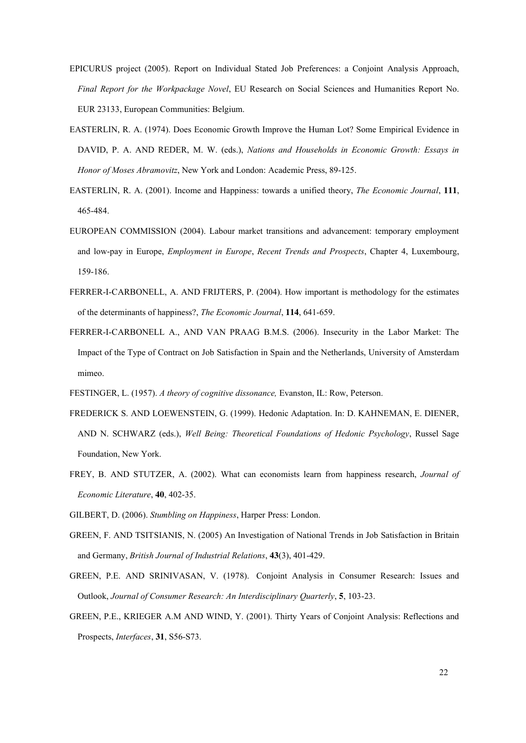- EPICURUS project (2005). Report on Individual Stated Job Preferences: a Conjoint Analysis Approach, *Final Report for the Workpackage Novel*, EU Research on Social Sciences and Humanities Report No. EUR 23133, European Communities: Belgium.
- EASTERLIN, R. A. (1974). Does Economic Growth Improve the Human Lot? Some Empirical Evidence in DAVID, P. A. AND REDER, M. W. (eds.), *Nations and Households in Economic Growth: Essays in Honor of Moses Abramovitz*, New York and London: Academic Press, 89-125.
- EASTERLIN, R. A. (2001). Income and Happiness: towards a unified theory, *The Economic Journal*, **111**, 465-484.
- EUROPEAN COMMISSION (2004). Labour market transitions and advancement: temporary employment and low-pay in Europe, *Employment in Europe*, *Recent Trends and Prospects*, Chapter 4, Luxembourg, 159-186.
- FERRER-I-CARBONELL, A. AND FRIJTERS, P. (2004). How important is methodology for the estimates of the determinants of happiness?, *The Economic Journal*, **114**, 641-659.
- FERRER-I-CARBONELL A., AND VAN PRAAG B.M.S. (2006). Insecurity in the Labor Market: The Impact of the Type of Contract on Job Satisfaction in Spain and the Netherlands, University of Amsterdam mimeo.
- FESTINGER, L. (1957). *A theory of cognitive dissonance,* Evanston, IL: Row, Peterson.
- FREDERICK S. AND LOEWENSTEIN, G. (1999). Hedonic Adaptation. In: D. KAHNEMAN, E. DIENER, AND N. SCHWARZ (eds.), *Well Being: Theoretical Foundations of Hedonic Psychology*, Russel Sage Foundation, New York.
- FREY, B. AND STUTZER, A. (2002). What can economists learn from happiness research, *Journal of Economic Literature*, **40**, 402-35.
- GILBERT, D. (2006). *Stumbling on Happiness*, Harper Press: London.
- GREEN, F. AND TSITSIANIS, N. (2005) An Investigation of National Trends in Job Satisfaction in Britain and Germany, *British Journal of Industrial Relations*, **43**(3), 401-429.
- GREEN, P.E. AND SRINIVASAN, V. (1978). Conjoint Analysis in Consumer Research: Issues and Outlook, *Journal of Consumer Research: An Interdisciplinary Quarterly*, **5**, 103-23.
- GREEN, P.E., KRIEGER A.M AND WIND, Y. (2001). Thirty Years of Conjoint Analysis: Reflections and Prospects, *Interfaces*, **31**, S56-S73.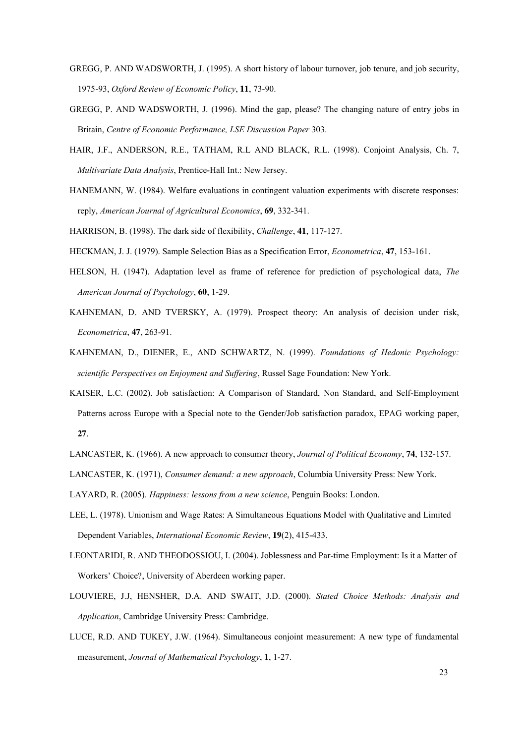- GREGG, P. AND WADSWORTH, J. (1995). A short history of labour turnover, job tenure, and job security, 1975-93, *Oxford Review of Economic Policy*, **11**, 73-90.
- GREGG, P. AND WADSWORTH, J. (1996). Mind the gap, please? The changing nature of entry jobs in Britain, *Centre of Economic Performance, LSE Discussion Paper* 303.
- HAIR, J.F., ANDERSON, R.E., TATHAM, R.L AND BLACK, R.L. (1998). Conjoint Analysis, Ch. 7, *Multivariate Data Analysis*, Prentice-Hall Int.: New Jersey.
- HANEMANN, W. (1984). Welfare evaluations in contingent valuation experiments with discrete responses: reply, *American Journal of Agricultural Economics*, **69**, 332-341.
- HARRISON, B. (1998). The dark side of flexibility, *Challenge*, **41**, 117-127.
- HECKMAN, J. J. (1979). Sample Selection Bias as a Specification Error, *Econometrica*, **47**, 153-161.
- HELSON, H. (1947). Adaptation level as frame of reference for prediction of psychological data, *The American Journal of Psychology*, **60**, 1-29.
- KAHNEMAN, D. AND TVERSKY, A. (1979). Prospect theory: An analysis of decision under risk, *Econometrica*, **47**, 263-91.
- KAHNEMAN, D., DIENER, E., AND SCHWARTZ, N. (1999). *Foundations of Hedonic Psychology: scientific Perspectives on Enjoyment and Suffering*, Russel Sage Foundation: New York.
- KAISER, L.C. (2002). Job satisfaction: A Comparison of Standard, Non Standard, and Self-Employment Patterns across Europe with a Special note to the Gender/Job satisfaction paradox, EPAG working paper, **27**.
- LANCASTER, K. (1966). A new approach to consumer theory, *Journal of Political Economy*, **74**, 132-157.
- LANCASTER, K. (1971), *Consumer demand: a new approach*, Columbia University Press: New York.
- LAYARD, R. (2005). *Happiness: lessons from a new science*, Penguin Books: London.
- LEE, L. (1978). Unionism and Wage Rates: A Simultaneous Equations Model with Qualitative and Limited Dependent Variables, *International Economic Review*, **19**(2), 415-433.
- LEONTARIDI, R. AND THEODOSSIOU, I. (2004). Joblessness and Par-time Employment: Is it a Matter of Workers' Choice?, University of Aberdeen working paper.
- LOUVIERE, J.J, HENSHER, D.A. AND SWAIT, J.D. (2000). *Stated Choice Methods: Analysis and Application*, Cambridge University Press: Cambridge.
- LUCE, R.D. AND TUKEY, J.W. (1964). Simultaneous conjoint measurement: A new type of fundamental measurement, *Journal of Mathematical Psychology*, **1**, 1-27.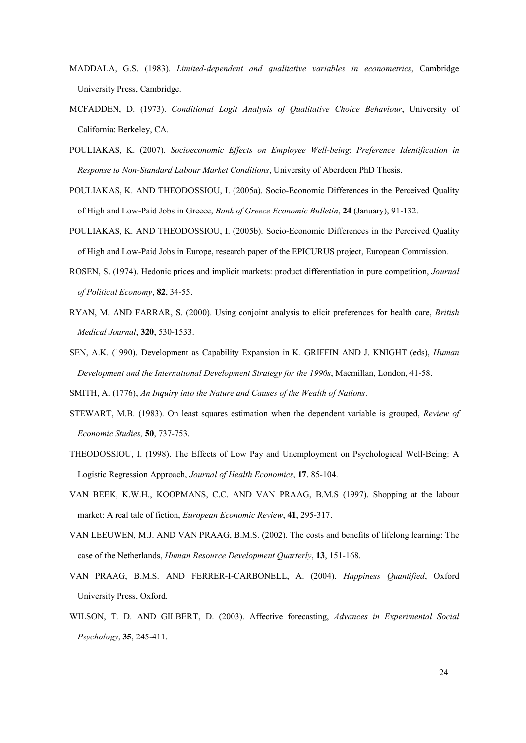- MADDALA, G.S. (1983). *Limited-dependent and qualitative variables in econometrics*, Cambridge University Press, Cambridge.
- MCFADDEN, D. (1973). *Conditional Logit Analysis of Qualitative Choice Behaviour*, University of California: Berkeley, CA.
- POULIAKAS, K. (2007). *Socioeconomic Effects on Employee Well-being*: *Preference Identification in Response to Non-Standard Labour Market Conditions*, University of Aberdeen PhD Thesis.
- POULIAKAS, K. AND THEODOSSIOU, I. (2005a). Socio-Economic Differences in the Perceived Quality of High and Low-Paid Jobs in Greece, *Bank of Greece Economic Bulletin*, **24** (January), 91-132.
- POULIAKAS, K. AND THEODOSSIOU, I. (2005b). Socio-Economic Differences in the Perceived Quality of High and Low-Paid Jobs in Europe, research paper of the EPICURUS project, European Commission*.*
- ROSEN, S. (1974). Hedonic prices and implicit markets: product differentiation in pure competition, *Journal of Political Economy*, **82**, 34-55.
- RYAN, M. AND FARRAR, S. (2000). Using conjoint analysis to elicit preferences for health care, *British Medical Journal*, **320**, 530-1533.
- SEN, A.K. (1990). Development as Capability Expansion in K. GRIFFIN AND J. KNIGHT (eds), *Human Development and the International Development Strategy for the 1990s*, Macmillan, London, 41-58.

SMITH, A. (1776), *An Inquiry into the Nature and Causes of the Wealth of Nations*.

- STEWART, M.B. (1983). On least squares estimation when the dependent variable is grouped, *Review of Economic Studies,* **50**, 737-753.
- THEODOSSIOU, I. (1998). The Effects of Low Pay and Unemployment on Psychological Well-Being: A Logistic Regression Approach, *Journal of Health Economics*, **17**, 85-104.
- VAN BEEK, K.W.H., KOOPMANS, C.C. AND VAN PRAAG, B.M.S (1997). Shopping at the labour market: A real tale of fiction, *European Economic Review*, **41**, 295-317.
- VAN LEEUWEN, M.J. AND VAN PRAAG, B.M.S. (2002). The costs and benefits of lifelong learning: The case of the Netherlands, *Human Resource Development Quarterly*, **13**, 151-168.
- VAN PRAAG, B.M.S. AND FERRER-I-CARBONELL, A. (2004). *Happiness Quantified*, Oxford University Press, Oxford.
- WILSON, T. D. AND GILBERT, D. (2003). Affective forecasting, *Advances in Experimental Social Psychology*, **35**, 245-411.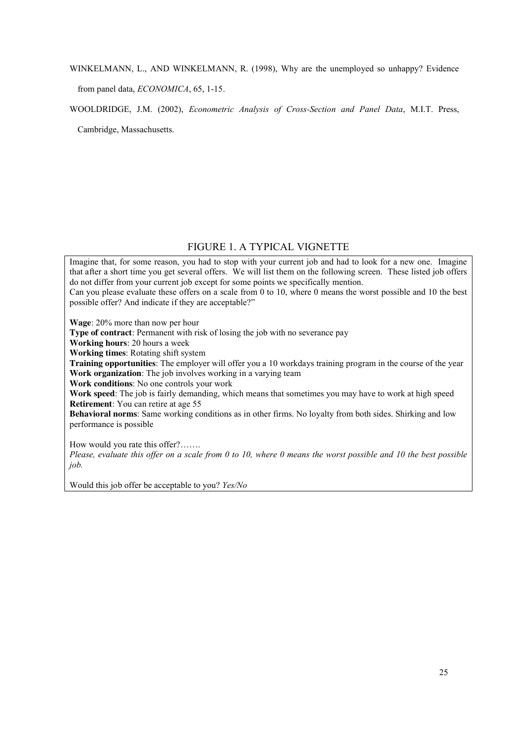# WINKELMANN, L., AND WINKELMANN, R. (1998), Why are the unemployed so unhappy? Evidence

from panel data, *ECONOMICA*, 65, 1-15.

WOOLDRIDGE, J.M. (2002), *Econometric Analysis of Cross-Section and Panel Data*, M.I.T. Press,

Cambridge, Massachusetts.

# FIGURE 1. A TYPICAL VIGNETTE

Imagine that, for some reason, you had to stop with your current job and had to look for a new one. Imagine that after a short time you get several offers. We will list them on the following screen. These listed job offers do not differ from your current job except for some points we specifically mention. Can you please evaluate these offers on a scale from 0 to 10, where 0 means the worst possible and 10 the best possible offer? And indicate if they are acceptable?" **Wage**: 20% more than now per hour

**Type of contract**: Permanent with risk of losing the job with no severance pay

**Working hours**: 20 hours a week

**Working times**: Rotating shift system

**Training opportunities**: The employer will offer you a 10 workdays training program in the course of the year **Work organization**: The job involves working in a varying team

**Work conditions**: No one controls your work

**Work speed**: The job is fairly demanding, which means that sometimes you may have to work at high speed **Retirement**: You can retire at age 55

**Behavioral norms**: Same working conditions as in other firms. No loyalty from both sides. Shirking and low performance is possible

How would you rate this offer?……. *Please, evaluate this offer on a scale from 0 to 10, where 0 means the worst possible and 10 the best possible job.*

Would this job offer be acceptable to you? *Yes/No*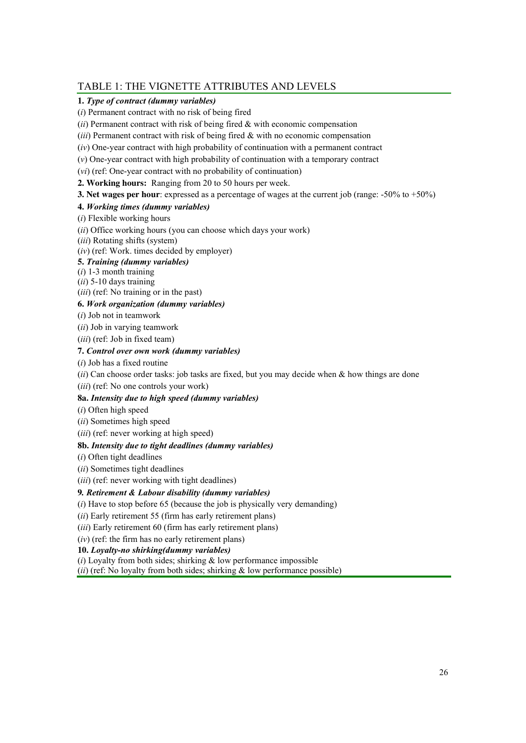# TABLE 1: THE VIGNETTE ATTRIBUTES AND LEVELS

# **1.** *Type of contract (dummy variables)*

(*i*) Permanent contract with no risk of being fired

(*ii*) Permanent contract with risk of being fired & with economic compensation

(*iii*) Permanent contract with risk of being fired & with no economic compensation

(*iv*) One-year contract with high probability of continuation with a permanent contract

(*v*) One-year contract with high probability of continuation with a temporary contract

(*vi*) (ref: One-year contract with no probability of continuation)

**2. Working hours:** Ranging from 20 to 50 hours per week.

**3. Net wages per hour**: expressed as a percentage of wages at the current job (range: -50% to +50%)

# **4.** *Working times (dummy variables)*

(*i*) Flexible working hours

(*ii*) Office working hours (you can choose which days your work)

(*iii*) Rotating shifts (system)

(*iv*) (ref: Work. times decided by employer)

**5.** *Training (dummy variables)*

(*i*) 1-3 month training

(*ii*) 5-10 days training

(*iii*) (ref: No training or in the past)

# **6.** *Work organization (dummy variables)*

(*i*) Job not in teamwork

(*ii*) Job in varying teamwork

(*iii*) (ref: Job in fixed team)

# **7.** *Control over own work (dummy variables)*

(*i*) Job has a fixed routine

(*ii*) Can choose order tasks: job tasks are fixed, but you may decide when & how things are done

(*iii*) (ref: No one controls your work)

**8a.** *Intensity due to high speed (dummy variables)*

(*i*) Often high speed

(*ii*) Sometimes high speed

(*iii*) (ref: never working at high speed)

# **8b.** *Intensity due to tight deadlines (dummy variables)*

(*i*) Often tight deadlines

(*ii*) Sometimes tight deadlines

(*iii*) (ref: never working with tight deadlines)

### **9***. Retirement & Labour disability (dummy variables)*

(*i*) Have to stop before 65 (because the job is physically very demanding)

(*ii*) Early retirement 55 (firm has early retirement plans)

(*iii*) Early retirement 60 (firm has early retirement plans)

(*iv*) (ref: the firm has no early retirement plans)

**10.** *Loyalty-no shirking(dummy variables)*

 $(i)$  Loyalty from both sides; shirking  $\&$  low performance impossible

(*ii*) (ref: No loyalty from both sides; shirking & low performance possible)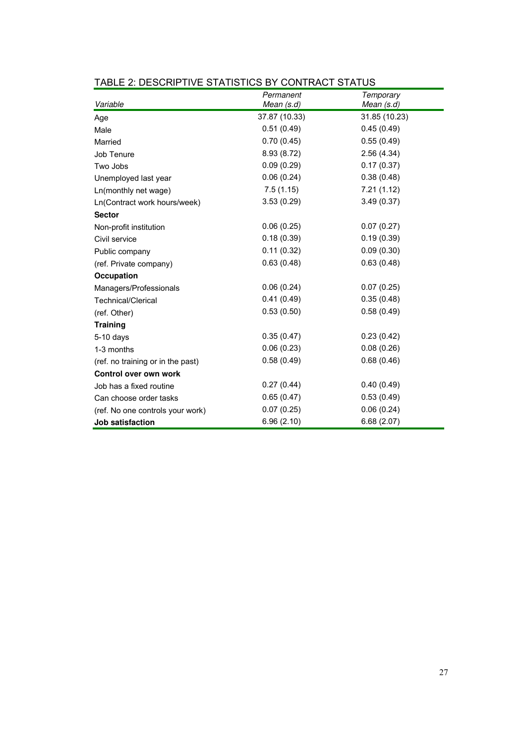|                                   | Permanent     | Temporary     |
|-----------------------------------|---------------|---------------|
| Variable                          | Mean (s.d)    | Mean (s.d)    |
| Age                               | 37.87 (10.33) | 31.85 (10.23) |
| Male                              | 0.51(0.49)    | 0.45(0.49)    |
| Married                           | 0.70(0.45)    | 0.55(0.49)    |
| Job Tenure                        | 8.93 (8.72)   | 2.56(4.34)    |
| Two Jobs                          | 0.09(0.29)    | 0.17(0.37)    |
| Unemployed last year              | 0.06(0.24)    | 0.38(0.48)    |
| Ln(monthly net wage)              | 7.5(1.15)     | 7.21(1.12)    |
| Ln(Contract work hours/week)      | 3.53(0.29)    | 3.49(0.37)    |
| <b>Sector</b>                     |               |               |
| Non-profit institution            | 0.06(0.25)    | 0.07(0.27)    |
| Civil service                     | 0.18(0.39)    | 0.19(0.39)    |
| Public company                    | 0.11(0.32)    | 0.09(0.30)    |
| (ref. Private company)            | 0.63(0.48)    | 0.63(0.48)    |
| Occupation                        |               |               |
| Managers/Professionals            | 0.06(0.24)    | 0.07(0.25)    |
| Technical/Clerical                | 0.41(0.49)    | 0.35(0.48)    |
| (ref. Other)                      | 0.53(0.50)    | 0.58(0.49)    |
| <b>Training</b>                   |               |               |
| 5-10 days                         | 0.35(0.47)    | 0.23(0.42)    |
| 1-3 months                        | 0.06(0.23)    | 0.08(0.26)    |
| (ref. no training or in the past) | 0.58(0.49)    | 0.68(0.46)    |
| Control over own work             |               |               |
| Job has a fixed routine           | 0.27(0.44)    | 0.40(0.49)    |
| Can choose order tasks            | 0.65(0.47)    | 0.53(0.49)    |
| (ref. No one controls your work)  | 0.07(0.25)    | 0.06(0.24)    |
| Job satisfaction                  | 6.96(2.10)    | 6.68(2.07)    |

# TABLE 2: DESCRIPTIVE STATISTICS BY CONTRACT STATUS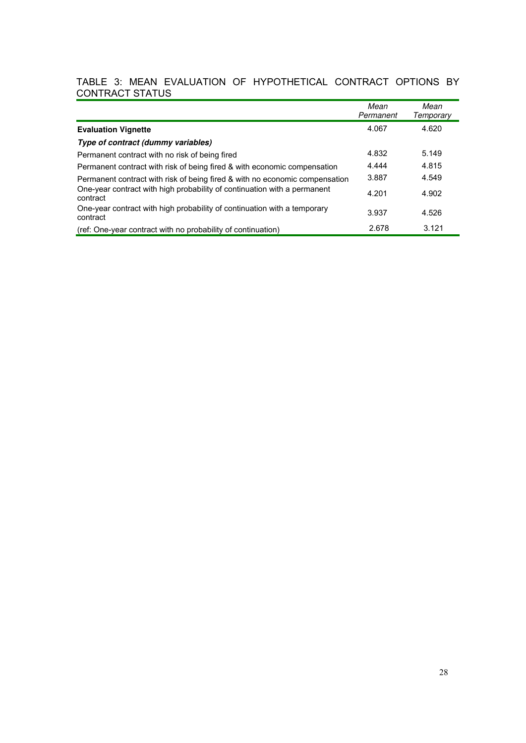# TABLE 3: MEAN EVALUATION OF HYPOTHETICAL CONTRACT OPTIONS BY CONTRACT STATUS

|                                                                                      | Mean<br>Permanent | Mean<br>Temporary |
|--------------------------------------------------------------------------------------|-------------------|-------------------|
| <b>Evaluation Vignette</b>                                                           | 4.067             | 4.620             |
| Type of contract (dummy variables)                                                   |                   |                   |
| Permanent contract with no risk of being fired                                       | 4.832             | 5.149             |
| Permanent contract with risk of being fired & with economic compensation             | 4.444             | 4.815             |
| Permanent contract with risk of being fired & with no economic compensation          | 3.887             | 4.549             |
| One-year contract with high probability of continuation with a permanent<br>contract | 4.201             | 4.902             |
| One-year contract with high probability of continuation with a temporary<br>contract | 3.937             | 4.526             |
| (ref: One-year contract with no probability of continuation)                         | 2.678             | 3.121             |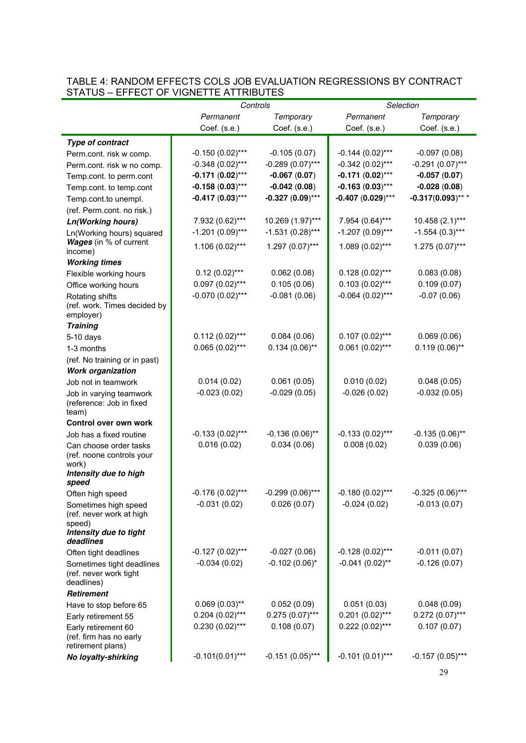# TABLE 4: RANDOM EFFECTS COLS JOB EVALUATION REGRESSIONS BY CONTRACT STATUS – EFFECT OF VIGNETTE ATTRIBUTES

| ,,,,,o                                                            | LITLOT OF VIORETTE ATTIMBUTED | Controls           | Selection           |                     |  |  |
|-------------------------------------------------------------------|-------------------------------|--------------------|---------------------|---------------------|--|--|
|                                                                   | Permanent                     | Temporary          | Permanent           | Temporary           |  |  |
|                                                                   | Coef. (s.e.)                  | Coef. (s.e.)       | Coef. (s.e.)        | Coef. (s.e.)        |  |  |
| Type of contract                                                  |                               |                    |                     |                     |  |  |
| Perm.cont. risk w comp.                                           | $-0.150(0.02)$ ***            | $-0.105(0.07)$     | $-0.144(0.02)$ ***  | $-0.097(0.08)$      |  |  |
| Perm.cont. risk w no comp.                                        | $-0.348(0.02)$ ***            | $-0.289(0.07)$ *** | $-0.342(0.02)$ ***  | $-0.291(0.07)$ ***  |  |  |
| Temp.cont. to perm.cont                                           | $-0.171(0.02)***$             | $-0.067(0.07)$     | $-0.171(0.02)***$   | $-0.057(0.07)$      |  |  |
| Temp.cont. to temp.cont                                           | $-0.158(0.03)***$             | $-0.042(0.08)$     | $-0.163(0.03)***$   | $-0.028(0.08)$      |  |  |
| Temp.cont.to unempl.                                              | $-0.417(0.03)***$             | $-0.327(0.09)***$  | $-0.407$ (0.029)*** | $-0.317(0.093)$ *** |  |  |
| (ref. Perm.cont. no risk.)                                        |                               |                    |                     |                     |  |  |
| <b>Ln(Working hours)</b>                                          | 7.932 (0.62)***               | 10.269 (1.97)***   | 7.954 (0.64)***     | $10.458(2.1)***$    |  |  |
| Ln(Working hours) squared                                         | $-1.201(0.09)$ ***            | $-1.531(0.28)***$  | $-1.207(0.09)$ ***  | $-1.554(0.3)***$    |  |  |
| Wages (in % of current                                            | $1.106(0.02)***$              | $1.297(0.07)$ ***  | $1.089(0.02)***$    | $1.275(0.07)$ ***   |  |  |
| income)                                                           |                               |                    |                     |                     |  |  |
| <b>Working times</b>                                              |                               |                    |                     |                     |  |  |
| Flexible working hours                                            | $0.12(0.02)***$               | 0.062(0.08)        | $0.128(0.02)***$    | 0.083(0.08)         |  |  |
| Office working hours                                              | $0.097(0.02)***$              | 0.105(0.06)        | $0.103(0.02)$ ***   | 0.109(0.07)         |  |  |
| Rotating shifts                                                   | $-0.070(0.02)***$             | $-0.081(0.06)$     | $-0.064$ (0.02)***  | $-0.07(0.06)$       |  |  |
| (ref. work. Times decided by<br>employer)                         |                               |                    |                     |                     |  |  |
| <b>Training</b>                                                   |                               |                    |                     |                     |  |  |
| $5-10$ days                                                       | $0.112(0.02)***$              | 0.084(0.06)        | $0.107(0.02)***$    | 0.069(0.06)         |  |  |
| 1-3 months                                                        | $0.065(0.02)***$              | $0.134(0.06)$ **   | $0.061(0.02)***$    | $0.119(0.06)$ **    |  |  |
| (ref. No training or in past)                                     |                               |                    |                     |                     |  |  |
| <b>Work organization</b>                                          |                               |                    |                     |                     |  |  |
| Job not in teamwork                                               | 0.014(0.02)                   | 0.061(0.05)        | 0.010(0.02)         | 0.048(0.05)         |  |  |
| Job in varying teamwork<br>(reference: Job in fixed<br>team)      | $-0.023(0.02)$                | $-0.029(0.05)$     | $-0.026(0.02)$      | $-0.032(0.05)$      |  |  |
| Control over own work                                             |                               |                    |                     |                     |  |  |
| Job has a fixed routine                                           | $-0.133(0.02)$ ***            | $-0.136(0.06)$ **  | $-0.133(0.02)$ ***  | $-0.135(0.06)$ **   |  |  |
| Can choose order tasks<br>(ref. noone controls your<br>work)      | 0.016(0.02)                   | 0.034(0.06)        | 0.008(0.02)         | 0.039(0.06)         |  |  |
| Intensity due to high<br>speed                                    |                               |                    |                     |                     |  |  |
| Often high speed                                                  | $-0.176(0.02)$ ***            | $-0.299(0.06)$ *** | $-0.180(0.02)$ ***  | $-0.325(0.06)$ ***  |  |  |
| Sometimes high speed<br>(ref. never work at high                  | $-0.031(0.02)$                | 0.026(0.07)        | $-0.024(0.02)$      | $-0.013(0.07)$      |  |  |
| speed)<br>Intensity due to tight<br>deadlines                     |                               |                    |                     |                     |  |  |
| Often tight deadlines                                             | $-0.127(0.02)$ ***            | $-0.027(0.06)$     | $-0.128(0.02)$ ***  | $-0.011(0.07)$      |  |  |
| Sometimes tight deadlines<br>(ref. never work tight<br>deadlines) | $-0.034(0.02)$                | $-0.102(0.06)$ *   | $-0.041(0.02)$ **   | $-0.126(0.07)$      |  |  |
| Retirement                                                        |                               |                    |                     |                     |  |  |
| Have to stop before 65                                            | $0.069(0.03)$ **              | 0.052(0.09)        | 0.051(0.03)         | 0.048(0.09)         |  |  |
| Early retirement 55                                               | $0.204$ $(0.02)***$           | $0.275(0.07)$ ***  | $0.201(0.02)***$    | $0.272(0.07)$ ***   |  |  |
| Early retirement 60                                               | $0.230(0.02)***$              | 0.108(0.07)        | $0.222(0.02)***$    | 0.107(0.07)         |  |  |
| (ref. firm has no early<br>retirement plans)                      |                               |                    |                     |                     |  |  |
| No loyalty-shirking                                               | $-0.101(0.01)$ ***            | $-0.151(0.05)***$  | $-0.101(0.01)$ ***  | $-0.157(0.05)$ ***  |  |  |
|                                                                   |                               |                    |                     |                     |  |  |

29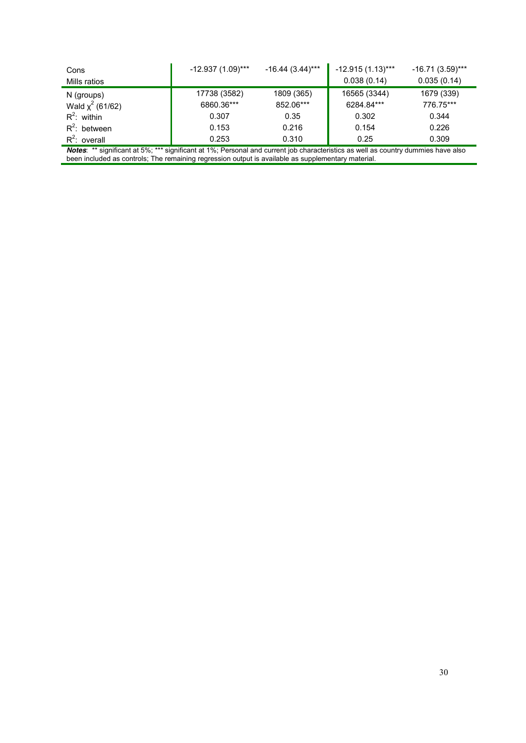| Cons                  | $-12.937(1.09)***$ | $-16.44(3.44)$ *** | $-12.915(1.13)***$<br>0.038(0.14) | $-16.71(3.59)$ ***<br>0.035(0.14) |
|-----------------------|--------------------|--------------------|-----------------------------------|-----------------------------------|
| Mills ratios          |                    |                    |                                   |                                   |
| N (groups)            | 17738 (3582)       | 1809 (365)         | 16565 (3344)                      | 1679 (339)                        |
| Wald $\chi^2$ (61/62) | 6860.36***         | 852.06***          | 6284.84***                        | 776.75***                         |
| $R^2$ : within        | 0.307              | 0.35               | 0.302                             | 0.344                             |
| $R^2$ : between       | 0.153              | 0.216              | 0.154                             | 0.226                             |
| $R^2$ : overall       | 0.253              | 0.310              | 0.25                              | 0.309                             |

**Notes**: \*\* significant at 5%; \*\*\* significant at 1%; Personal and current job characteristics as well as country dummies have also been included as controls; The remaining regression output is available as supplementary material.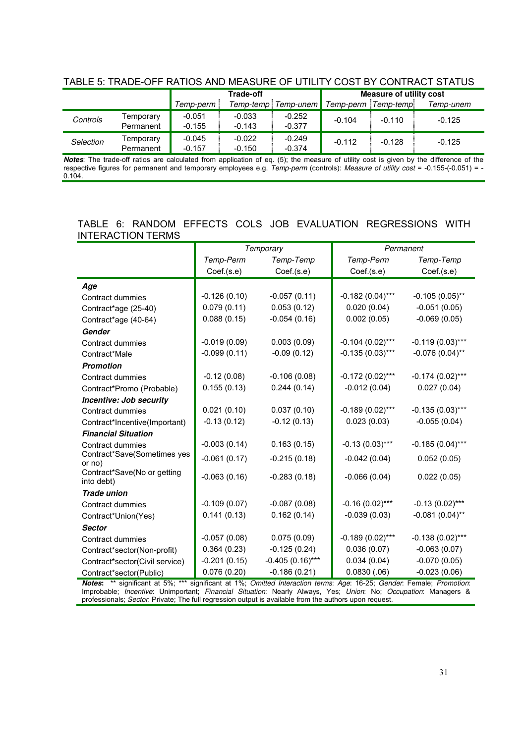|           |           | Trade-off |          |                       |           | <b>Measure of utility cost</b> |           |
|-----------|-----------|-----------|----------|-----------------------|-----------|--------------------------------|-----------|
|           |           | Temp-perm |          | Temp-temp   Temp-unem | Temp-perm | Temp-temp                      | Temp-unem |
| Controls  | Temporary | $-0.051$  | $-0.033$ | $-0.252$              | $-0.104$  | $-0.110$                       | $-0.125$  |
|           | Permanent | $-0.155$  | $-0.143$ | $-0.377$              |           |                                |           |
| Selection | Temporary | $-0.045$  | $-0.022$ | $-0.249$              | $-0.112$  | $-0.128$                       | $-0.125$  |
|           | Permanent | $-0.157$  | $-0.150$ | $-0.374$              |           |                                |           |

# TABLE 5: TRADE-OFF RATIOS AND MEASURE OF UTILITY COST BY CONTRACT STATUS

**Notes**: The trade-off ratios are calculated from application of eq. (5); the measure of utility cost is given by the difference of the respective figures for permanent and temporary employees e.g. Temp-perm (controls): Measure of utility cost = -0.155-(-0.051) = -0.104.

# TABLE 6: RANDOM EFFECTS COLS JOB EVALUATION REGRESSIONS WITH INTERACTION TERMS

|                                           |                | Temporary          | Permanent          |                    |  |
|-------------------------------------------|----------------|--------------------|--------------------|--------------------|--|
|                                           | Temp-Perm      | Temp-Temp          | Temp-Perm          | Temp-Temp          |  |
|                                           | Coef.(s.e)     | Coef.(s.e)         | Coef.(s.e)         | Coef.(s.e)         |  |
| Age                                       |                |                    |                    |                    |  |
| Contract dummies                          | $-0.126(0.10)$ | $-0.057(0.11)$     | $-0.182(0.04)$ *** | $-0.105(0.05)$ **  |  |
| Contract*age (25-40)                      | 0.079(0.11)    | 0.053(0.12)        | 0.020(0.04)        | $-0.051(0.05)$     |  |
| Contract*age (40-64)                      | 0.088(0.15)    | $-0.054(0.16)$     | 0.002(0.05)        | $-0.069(0.05)$     |  |
| Gender                                    |                |                    |                    |                    |  |
| Contract dummies                          | $-0.019(0.09)$ | 0.003(0.09)        | $-0.104(0.02)$ *** | $-0.119(0.03)***$  |  |
| Contract*Male                             | $-0.099(0.11)$ | $-0.09(0.12)$      | $-0.135(0.03)$ *** | $-0.076(0.04)$ **  |  |
| <b>Promotion</b>                          |                |                    |                    |                    |  |
| Contract dummies                          | $-0.12(0.08)$  | $-0.106(0.08)$     | $-0.172(0.02)$ *** | $-0.174(0.02)$ *** |  |
| Contract*Promo (Probable)                 | 0.155(0.13)    | 0.244(0.14)        | $-0.012(0.04)$     | 0.027(0.04)        |  |
| <b>Incentive: Job security</b>            |                |                    |                    |                    |  |
| Contract dummies                          | 0.021(0.10)    | 0.037(0.10)        | $-0.189(0.02)***$  | $-0.135(0.03)$ *** |  |
| Contract*Incentive(Important)             | $-0.13(0.12)$  | $-0.12(0.13)$      | 0.023(0.03)        | $-0.055(0.04)$     |  |
| <b>Financial Situation</b>                |                |                    |                    |                    |  |
| Contract dummies                          | $-0.003(0.14)$ | 0.163(0.15)        | $-0.13(0.03)$ ***  | $-0.185(0.04)$ *** |  |
| Contract*Save(Sometimes yes<br>or no)     | $-0.061(0.17)$ | $-0.215(0.18)$     | $-0.042(0.04)$     | 0.052(0.05)        |  |
| Contract*Save(No or getting<br>into debt) | $-0.063(0.16)$ | $-0.283(0.18)$     | $-0.066(0.04)$     | 0.022(0.05)        |  |
| <b>Trade union</b>                        |                |                    |                    |                    |  |
| Contract dummies                          | $-0.109(0.07)$ | $-0.087(0.08)$     | $-0.16(0.02)$ ***  | $-0.13(0.02)$ ***  |  |
| Contract*Union(Yes)                       | 0.141(0.13)    | 0.162(0.14)        | $-0.039(0.03)$     | $-0.081(0.04)$ **  |  |
| <b>Sector</b>                             |                |                    |                    |                    |  |
| Contract dummies                          | $-0.057(0.08)$ | 0.075(0.09)        | $-0.189(0.02)$ *** | $-0.138(0.02)$ *** |  |
| Contract*sector(Non-profit)               | 0.364(0.23)    | $-0.125(0.24)$     | 0.036(0.07)        | $-0.063(0.07)$     |  |
| Contract*sector(Civil service)            | $-0.201(0.15)$ | $-0.405(0.16)$ *** | 0.034(0.04)        | $-0.070(0.05)$     |  |
| Contract*sector(Public)                   | 0.076(0.20)    | $-0.186(0.21)$     | 0.0830(0.06)       | $-0.023(0.06)$     |  |

**Notes:** \*\* significant at 5%; \*\*\* significant at 1%; Omitted Interaction terms: Age: 16-25; Gender: Female; Promotion: Improbable; Incentive: Unimportant; Financial Situation: Nearly Always, Yes; Union: No; Occupation: Managers & professionals; Sector: Private; The full regression output is available from the authors upon request.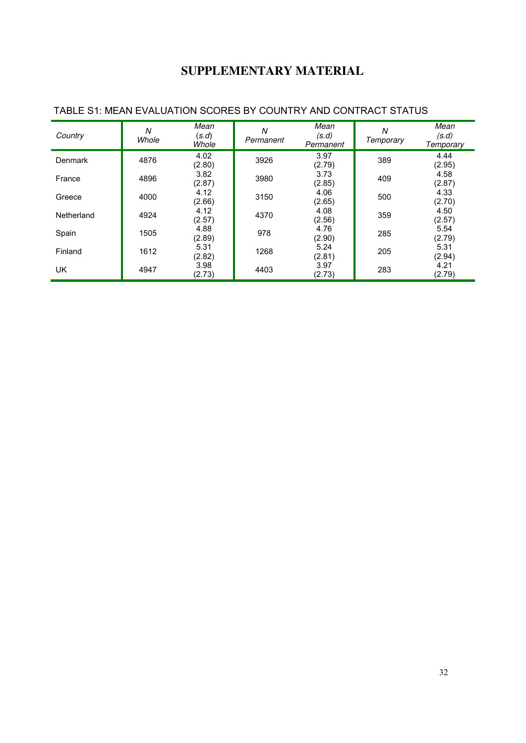# **SUPPLEMENTARY MATERIAL**

| Country        | N<br>Whole | Mean<br>(s.d)<br>Whole | N<br>Permanent | Mean<br>(s.d)<br>Permanent | N<br>Temporary | Mean<br>(s.d)<br>Temporary |
|----------------|------------|------------------------|----------------|----------------------------|----------------|----------------------------|
| <b>Denmark</b> | 4876       | 4.02<br>(2.80)         | 3926           | 3.97<br>(2.79)             | 389            | 4.44<br>(2.95)             |
| France         | 4896       | 3.82<br>(2.87)         | 3980           | 3.73<br>(2.85)             | 409            | 4.58<br>(2.87)             |
| Greece         | 4000       | 4.12<br>(2.66)         | 3150           | 4.06<br>(2.65)             | 500            | 4.33<br>(2.70)             |
| Netherland     | 4924       | 4.12<br>(2.57)         | 4370           | 4.08<br>(2.56)             | 359            | 4.50<br>(2.57)             |
| Spain          | 1505       | 4.88<br>(2.89)         | 978            | 4.76<br>(2.90)             | 285            | 5.54<br>(2.79)             |
| Finland        | 1612       | 5.31<br>(2.82)         | 1268           | 5.24<br>(2.81)             | 205            | 5.31<br>(2.94)             |
| UK             | 4947       | 3.98<br>(2.73)         | 4403           | 3.97<br>(2.73)             | 283            | 4.21<br>(2.79)             |

# TABLE S1: MEAN EVALUATION SCORES BY COUNTRY AND CONTRACT STATUS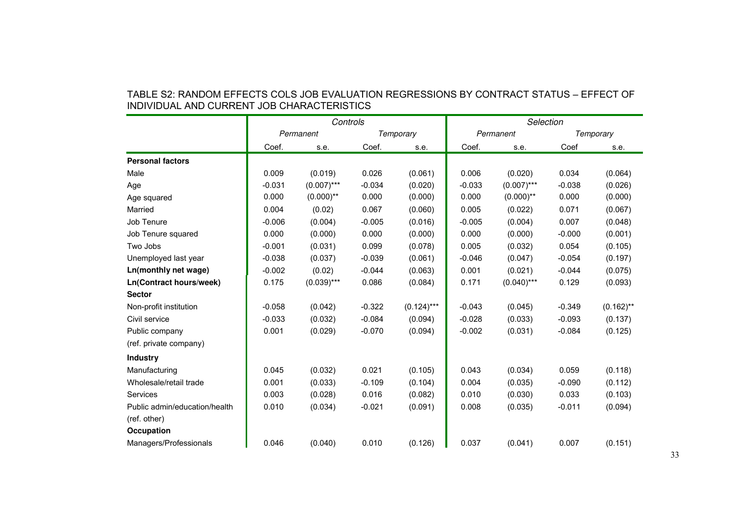|                               |          | Controls      |          |               |          | Selection     |          |              |
|-------------------------------|----------|---------------|----------|---------------|----------|---------------|----------|--------------|
|                               |          | Permanent     |          | Temporary     |          | Permanent     |          | Temporary    |
|                               | Coef.    | s.e.          | Coef.    | s.e.          | Coef.    | s.e.          | Coef     | s.e.         |
| <b>Personal factors</b>       |          |               |          |               |          |               |          |              |
| Male                          | 0.009    | (0.019)       | 0.026    | (0.061)       | 0.006    | (0.020)       | 0.034    | (0.064)      |
| Age                           | $-0.031$ | $(0.007)$ *** | $-0.034$ | (0.020)       | $-0.033$ | $(0.007)$ *** | $-0.038$ | (0.026)      |
| Age squared                   | 0.000    | $(0.000)$ **  | 0.000    | (0.000)       | 0.000    | $(0.000)$ **  | 0.000    | (0.000)      |
| Married                       | 0.004    | (0.02)        | 0.067    | (0.060)       | 0.005    | (0.022)       | 0.071    | (0.067)      |
| Job Tenure                    | $-0.006$ | (0.004)       | $-0.005$ | (0.016)       | $-0.005$ | (0.004)       | 0.007    | (0.048)      |
| Job Tenure squared            | 0.000    | (0.000)       | 0.000    | (0.000)       | 0.000    | (0.000)       | $-0.000$ | (0.001)      |
| Two Jobs                      | $-0.001$ | (0.031)       | 0.099    | (0.078)       | 0.005    | (0.032)       | 0.054    | (0.105)      |
| Unemployed last year          | $-0.038$ | (0.037)       | $-0.039$ | (0.061)       | $-0.046$ | (0.047)       | $-0.054$ | (0.197)      |
| Ln(monthly net wage)          | $-0.002$ | (0.02)        | $-0.044$ | (0.063)       | 0.001    | (0.021)       | $-0.044$ | (0.075)      |
| Ln(Contract hours/week)       | 0.175    | $(0.039)$ *** | 0.086    | (0.084)       | 0.171    | $(0.040)$ *** | 0.129    | (0.093)      |
| <b>Sector</b>                 |          |               |          |               |          |               |          |              |
| Non-profit institution        | $-0.058$ | (0.042)       | $-0.322$ | $(0.124)$ *** | $-0.043$ | (0.045)       | $-0.349$ | $(0.162)$ ** |
| Civil service                 | $-0.033$ | (0.032)       | $-0.084$ | (0.094)       | $-0.028$ | (0.033)       | $-0.093$ | (0.137)      |
| Public company                | 0.001    | (0.029)       | $-0.070$ | (0.094)       | $-0.002$ | (0.031)       | $-0.084$ | (0.125)      |
| (ref. private company)        |          |               |          |               |          |               |          |              |
| Industry                      |          |               |          |               |          |               |          |              |
| Manufacturing                 | 0.045    | (0.032)       | 0.021    | (0.105)       | 0.043    | (0.034)       | 0.059    | (0.118)      |
| Wholesale/retail trade        | 0.001    | (0.033)       | $-0.109$ | (0.104)       | 0.004    | (0.035)       | $-0.090$ | (0.112)      |
| Services                      | 0.003    | (0.028)       | 0.016    | (0.082)       | 0.010    | (0.030)       | 0.033    | (0.103)      |
| Public admin/education/health | 0.010    | (0.034)       | $-0.021$ | (0.091)       | 0.008    | (0.035)       | $-0.011$ | (0.094)      |
| (ref. other)                  |          |               |          |               |          |               |          |              |
| Occupation                    |          |               |          |               |          |               |          |              |
| Managers/Professionals        | 0.046    | (0.040)       | 0.010    | (0.126)       | 0.037    | (0.041)       | 0.007    | (0.151)      |

# TABLE S2: RANDOM EFFECTS COLS JOB EVALUATION REGRESSIONS BY CONTRACT STATUS – EFFECT OF INDIVIDUAL AND CURRENT JOB CHARACTERISTICS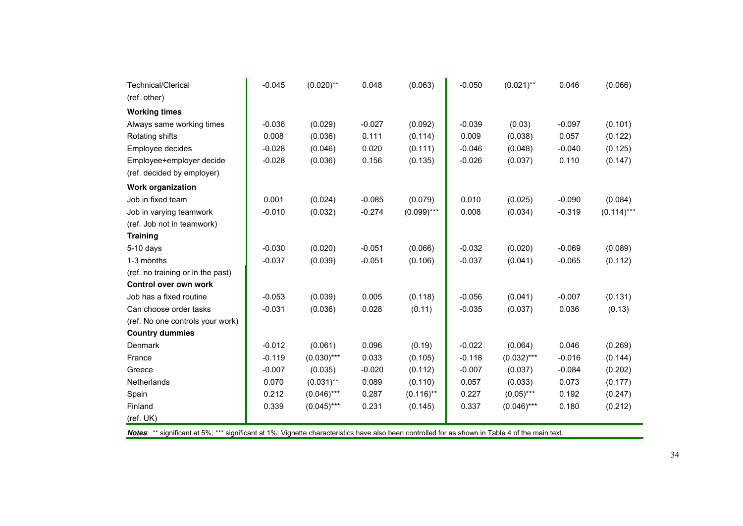| Technical/Clerical                                                                                                                               | $-0.045$ | $(0.020)$ **  | 0.048    | (0.063)       | $-0.050$ | $(0.021)$ **  | 0.046    | (0.066)      |
|--------------------------------------------------------------------------------------------------------------------------------------------------|----------|---------------|----------|---------------|----------|---------------|----------|--------------|
| (ref. other)                                                                                                                                     |          |               |          |               |          |               |          |              |
| <b>Working times</b>                                                                                                                             |          |               |          |               |          |               |          |              |
| Always same working times                                                                                                                        | $-0.036$ | (0.029)       | $-0.027$ | (0.092)       | $-0.039$ | (0.03)        | $-0.097$ | (0.101)      |
| Rotating shifts                                                                                                                                  | 0.008    | (0.036)       | 0.111    | (0.114)       | 0.009    | (0.038)       | 0.057    | (0.122)      |
| Employee decides                                                                                                                                 | $-0.028$ | (0.046)       | 0.020    | (0.111)       | $-0.046$ | (0.048)       | $-0.040$ | (0.125)      |
| Employee+employer decide                                                                                                                         | $-0.028$ | (0.036)       | 0.156    | (0.135)       | $-0.026$ | (0.037)       | 0.110    | (0.147)      |
| (ref. decided by employer)                                                                                                                       |          |               |          |               |          |               |          |              |
| <b>Work organization</b>                                                                                                                         |          |               |          |               |          |               |          |              |
| Job in fixed team                                                                                                                                | 0.001    | (0.024)       | $-0.085$ | (0.079)       | 0.010    | (0.025)       | $-0.090$ | (0.084)      |
| Job in varying teamwork                                                                                                                          | $-0.010$ | (0.032)       | $-0.274$ | $(0.099)$ *** | 0.008    | (0.034)       | $-0.319$ | $(0.114)***$ |
| (ref. Job not in teamwork)                                                                                                                       |          |               |          |               |          |               |          |              |
| <b>Training</b>                                                                                                                                  |          |               |          |               |          |               |          |              |
| $5-10$ days                                                                                                                                      | $-0.030$ | (0.020)       | $-0.051$ | (0.066)       | $-0.032$ | (0.020)       | $-0.069$ | (0.089)      |
| 1-3 months                                                                                                                                       | $-0.037$ | (0.039)       | $-0.051$ | (0.106)       | $-0.037$ | (0.041)       | $-0.065$ | (0.112)      |
| (ref. no training or in the past)                                                                                                                |          |               |          |               |          |               |          |              |
| Control over own work                                                                                                                            |          |               |          |               |          |               |          |              |
| Job has a fixed routine                                                                                                                          | $-0.053$ | (0.039)       | 0.005    | (0.118)       | $-0.056$ | (0.041)       | $-0.007$ | (0.131)      |
| Can choose order tasks                                                                                                                           | $-0.031$ | (0.036)       | 0.028    | (0.11)        | $-0.035$ | (0.037)       | 0.036    | (0.13)       |
| (ref. No one controls your work)                                                                                                                 |          |               |          |               |          |               |          |              |
| <b>Country dummies</b>                                                                                                                           |          |               |          |               |          |               |          |              |
| Denmark                                                                                                                                          | $-0.012$ | (0.061)       | 0.096    | (0.19)        | $-0.022$ | (0.064)       | 0.046    | (0.269)      |
| France                                                                                                                                           | $-0.119$ | $(0.030)$ *** | 0.033    | (0.105)       | $-0.118$ | $(0.032)$ *** | $-0.016$ | (0.144)      |
| Greece                                                                                                                                           | $-0.007$ | (0.035)       | $-0.020$ | (0.112)       | $-0.007$ | (0.037)       | $-0.084$ | (0.202)      |
| Netherlands                                                                                                                                      | 0.070    | $(0.031)$ **  | 0.089    | (0.110)       | 0.057    | (0.033)       | 0.073    | (0.177)      |
| Spain                                                                                                                                            | 0.212    | $(0.046)$ *** | 0.287    | $(0.116)$ **  | 0.227    | $(0.05)***$   | 0.192    | (0.247)      |
| Finland                                                                                                                                          | 0.339    | $(0.045)$ *** | 0.231    | (0.145)       | 0.337    | $(0.046)$ *** | 0.180    | (0.212)      |
| (ref. UK)                                                                                                                                        |          |               |          |               |          |               |          |              |
| Notes: ** significant at 5%; *** significant at 1%; Vignette characteristics have also been controlled for as shown in Table 4 of the main text. |          |               |          |               |          |               |          |              |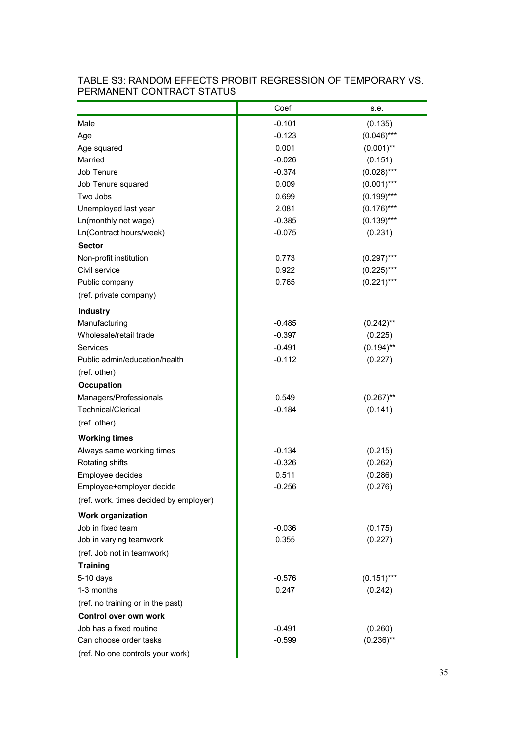|                                        | Coef     | s.e.          |
|----------------------------------------|----------|---------------|
| Male                                   | $-0.101$ | (0.135)       |
| Age                                    | $-0.123$ | $(0.046)$ *** |
| Age squared                            | 0.001    | $(0.001)$ **  |
| Married                                | $-0.026$ | (0.151)       |
| Job Tenure                             | $-0.374$ | $(0.028)$ *** |
| Job Tenure squared                     | 0.009    | $(0.001)$ *** |
| Two Jobs                               | 0.699    | $(0.199)$ *** |
| Unemployed last year                   | 2.081    | $(0.176)$ *** |
| Ln(monthly net wage)                   | $-0.385$ | $(0.139)$ *** |
| Ln(Contract hours/week)                | $-0.075$ | (0.231)       |
| <b>Sector</b>                          |          |               |
| Non-profit institution                 | 0.773    | $(0.297)$ *** |
| Civil service                          | 0.922    | $(0.225)$ *** |
| Public company                         | 0.765    | $(0.221)***$  |
| (ref. private company)                 |          |               |
| <b>Industry</b>                        |          |               |
| Manufacturing                          | $-0.485$ | $(0.242)$ **  |
| Wholesale/retail trade                 | $-0.397$ | (0.225)       |
| Services                               | $-0.491$ | $(0.194)$ **  |
| Public admin/education/health          | $-0.112$ | (0.227)       |
| (ref. other)                           |          |               |
| Occupation                             |          |               |
| Managers/Professionals                 | 0.549    | $(0.267)$ **  |
| <b>Technical/Clerical</b>              | $-0.184$ | (0.141)       |
| (ref. other)                           |          |               |
| <b>Working times</b>                   |          |               |
| Always same working times              | $-0.134$ | (0.215)       |
| Rotating shifts                        | $-0.326$ | (0.262)       |
| Employee decides                       | 0.511    | (0.286)       |
| Employee+employer decide               | $-0.256$ | (0.276)       |
| (ref. work. times decided by employer) |          |               |
| <b>Work organization</b>               |          |               |
| Job in fixed team                      | $-0.036$ | (0.175)       |
| Job in varying teamwork                | 0.355    | (0.227)       |
| (ref. Job not in teamwork)             |          |               |
| <b>Training</b>                        |          |               |
| 5-10 days                              | $-0.576$ | $(0.151)$ *** |
| 1-3 months                             | 0.247    | (0.242)       |
| (ref. no training or in the past)      |          |               |
| Control over own work                  |          |               |
| Job has a fixed routine                | $-0.491$ | (0.260)       |
| Can choose order tasks                 | $-0.599$ | $(0.236)$ **  |
| (ref. No one controls your work)       |          |               |

# TABLE S3: RANDOM EFFECTS PROBIT REGRESSION OF TEMPORARY VS. PERMANENT CONTRACT STATUS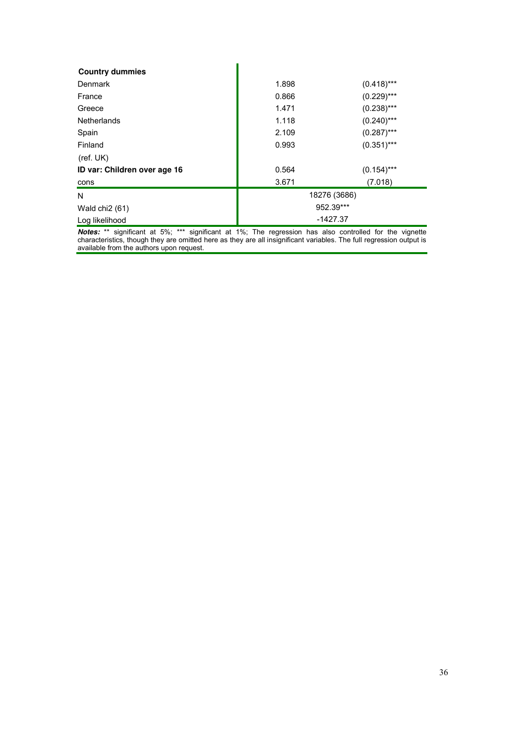| <b>Country dummies</b>       |              |               |  |  |  |
|------------------------------|--------------|---------------|--|--|--|
| Denmark                      | 1.898        | $(0.418)$ *** |  |  |  |
| France                       | 0.866        | $(0.229)$ *** |  |  |  |
| Greece                       | 1.471        | $(0.238)$ *** |  |  |  |
| Netherlands                  | 1.118        | $(0.240)$ *** |  |  |  |
| Spain                        | 2.109        | $(0.287)$ *** |  |  |  |
| Finland                      | 0.993        | $(0.351)$ *** |  |  |  |
| (ref. UK)                    |              |               |  |  |  |
| ID var: Children over age 16 | 0.564        | $(0.154)$ *** |  |  |  |
| cons                         | 3.671        | (7.018)       |  |  |  |
| N                            | 18276 (3686) |               |  |  |  |
| Wald chi <sub>2</sub> (61)   | 952.39***    |               |  |  |  |
| Log likelihood               | $-1427.37$   |               |  |  |  |

**Notes:** \*\* significant at 5%; \*\*\* significant at 1%; The regression has also controlled for the vignette characteristics, though they are omitted here as they are all insignificant variables. The full regression output is available from the authors upon request.